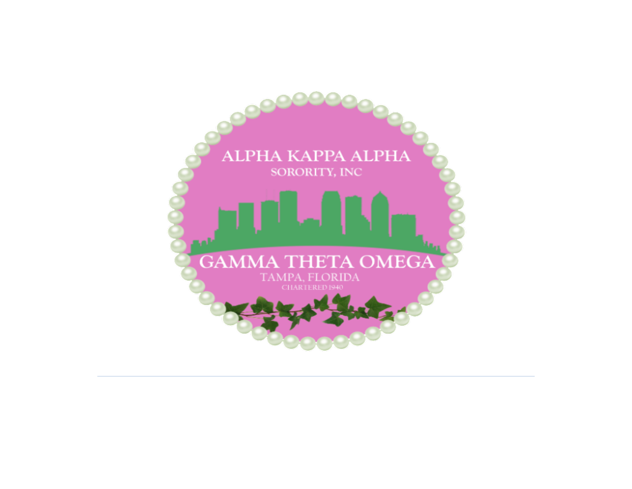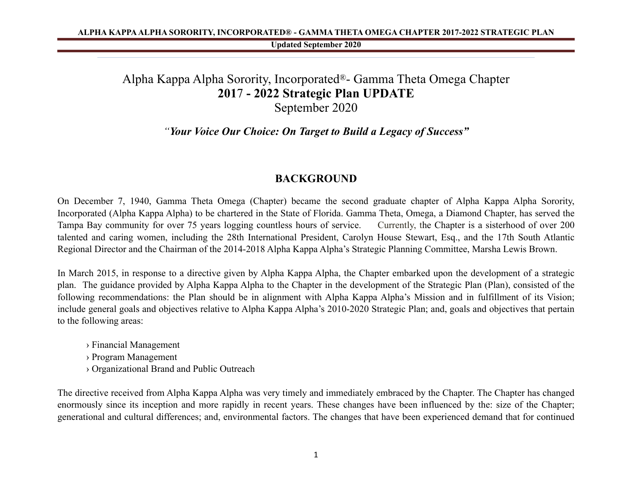# Alpha Kappa Alpha Sorority, Incorporated®- Gamma Theta Omega Chapter **201**7 **- 2022 Strategic Plan UPDATE**  September 2020

# *"Your Voice Our Choice: On Target to Build a Legacy of Success"*

# **BACKGROUND**

On December 7, 1940, Gamma Theta Omega (Chapter) became the second graduate chapter of Alpha Kappa Alpha Sorority, Incorporated (Alpha Kappa Alpha) to be chartered in the State of Florida. Gamma Theta, Omega, a Diamond Chapter, has served the Tampa Bay community for over 75 years logging countless hours of service. Currently, the Chapter is a sisterhood of over 200 talented and caring women, including the 28th International President, Carolyn House Stewart, Esq., and the 17th South Atlantic Regional Director and the Chairman of the 2014-2018 Alpha Kappa Alpha's Strategic Planning Committee, Marsha Lewis Brown.

In March 2015, in response to a directive given by Alpha Kappa Alpha, the Chapter embarked upon the development of a strategic plan. The guidance provided by Alpha Kappa Alpha to the Chapter in the development of the Strategic Plan (Plan), consisted of the following recommendations: the Plan should be in alignment with Alpha Kappa Alpha's Mission and in fulfillment of its Vision; include general goals and objectives relative to Alpha Kappa Alpha's 2010-2020 Strategic Plan; and, goals and objectives that pertain to the following areas:

- › Financial Management
- › Program Management
- › Organizational Brand and Public Outreach

The directive received from Alpha Kappa Alpha was very timely and immediately embraced by the Chapter. The Chapter has changed enormously since its inception and more rapidly in recent years. These changes have been influenced by the: size of the Chapter; generational and cultural differences; and, environmental factors. The changes that have been experienced demand that for continued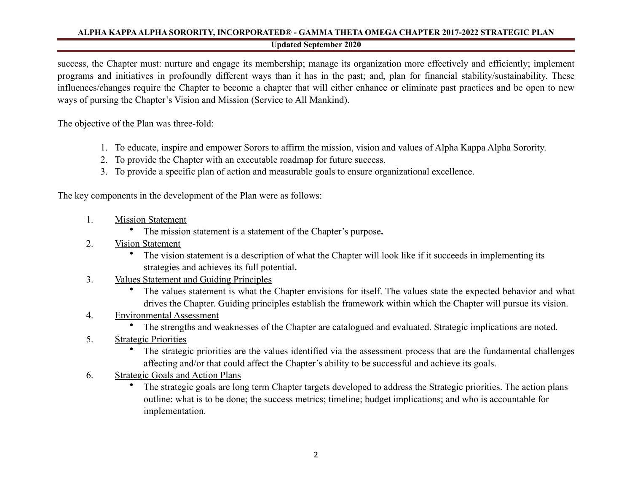success, the Chapter must: nurture and engage its membership; manage its organization more effectively and efficiently; implement programs and initiatives in profoundly different ways than it has in the past; and, plan for financial stability/sustainability. These influences/changes require the Chapter to become a chapter that will either enhance or eliminate past practices and be open to new ways of pursing the Chapter's Vision and Mission (Service to All Mankind).

The objective of the Plan was three-fold:

- 1. To educate, inspire and empower Sorors to affirm the mission, vision and values of Alpha Kappa Alpha Sorority.
- 2. To provide the Chapter with an executable roadmap for future success.
- 3. To provide a specific plan of action and measurable goals to ensure organizational excellence.

The key components in the development of the Plan were as follows:

- 1. Mission Statement
	- The mission statement is a statement of the Chapter's purpose**.**
- 2. Vision Statement
	- The vision statement is a description of what the Chapter will look like if it succeeds in implementing its strategies and achieves its full potential**.**
- 3. Values Statement and Guiding Principles
	- The values statement is what the Chapter envisions for itself. The values state the expected behavior and what drives the Chapter. Guiding principles establish the framework within which the Chapter will pursue its vision.
- 4. Environmental Assessment
	- The strengths and weaknesses of the Chapter are catalogued and evaluated. Strategic implications are noted.
- 5. Strategic Priorities
	- The strategic priorities are the values identified via the assessment process that are the fundamental challenges affecting and/or that could affect the Chapter's ability to be successful and achieve its goals.
- 6. Strategic Goals and Action Plans
	- The strategic goals are long term Chapter targets developed to address the Strategic priorities. The action plans outline: what is to be done; the success metrics; timeline; budget implications; and who is accountable for implementation.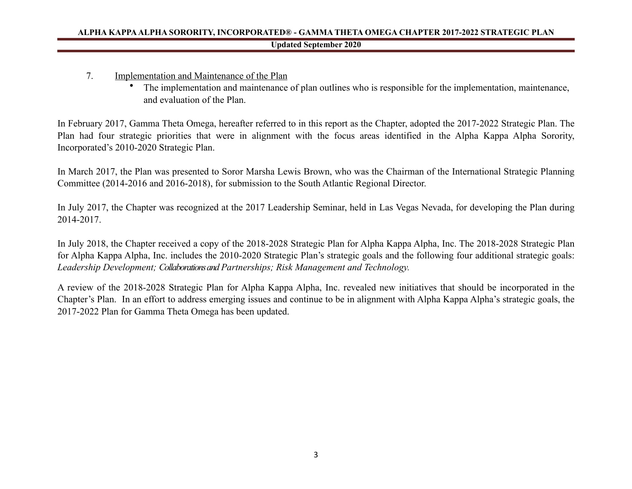- 7. Implementation and Maintenance of the Plan
	- The implementation and maintenance of plan outlines who is responsible for the implementation, maintenance, and evaluation of the Plan.

In February 2017, Gamma Theta Omega, hereafter referred to in this report as the Chapter, adopted the 2017-2022 Strategic Plan. The Plan had four strategic priorities that were in alignment with the focus areas identified in the Alpha Kappa Alpha Sorority, Incorporated's 2010-2020 Strategic Plan.

In March 2017, the Plan was presented to Soror Marsha Lewis Brown, who was the Chairman of the International Strategic Planning Committee (2014-2016 and 2016-2018), for submission to the South Atlantic Regional Director.

In July 2017, the Chapter was recognized at the 2017 Leadership Seminar, held in Las Vegas Nevada, for developing the Plan during 2014-2017.

In July 2018, the Chapter received a copy of the 2018-2028 Strategic Plan for Alpha Kappa Alpha, Inc. The 2018-2028 Strategic Plan for Alpha Kappa Alpha, Inc. includes the 2010-2020 Strategic Plan's strategic goals and the following four additional strategic goals: *Leadership Development; Collaborations and Partnerships; Risk Management and Technology.* 

A review of the 2018-2028 Strategic Plan for Alpha Kappa Alpha, Inc. revealed new initiatives that should be incorporated in the Chapter's Plan. In an effort to address emerging issues and continue to be in alignment with Alpha Kappa Alpha's strategic goals, the 2017-2022 Plan for Gamma Theta Omega has been updated.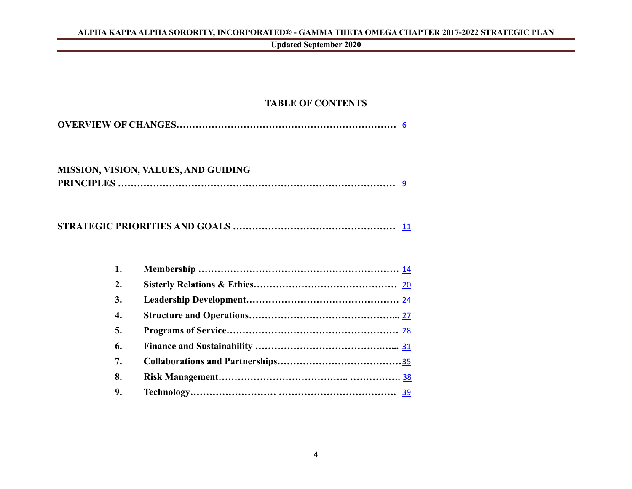**Updated September 2020**

# **TABLE OF CONTENTS**

# **MISSION, VISION, VALUES, AND GUIDING PRINCIPLES ……………………………………………………………………………** [9](#page-9-0)

**STRATEGIC PRIORITIES AND GOALS ……………………………………………** [11](#page-11-0)

| 2. |  |
|----|--|
| 3. |  |
| 4. |  |
| 5. |  |
| 6. |  |
| 7. |  |
| 8. |  |
| 9. |  |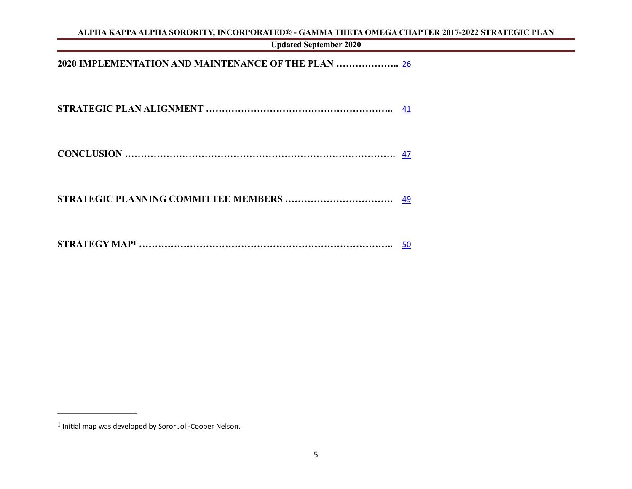**Updated September 2020**

**2020 IMPLEMENTATION AND MAINTENANCE OF THE PLAN ………………..** [26](#page-38-0)

**STRATEGIC PLAN ALIGNMENT …………………………………………………..** [41](#page-40-0)

|--|

**STRATEGIC PLANNING COMMITTEE MEMBERS …………………………….** [49](#page-47-0)

<span id="page-5-1"></span>

|--|--|--|

<span id="page-5-0"></span><sup>&</sup>lt;sup>[1](#page-5-1)</sup> Initial map was developed by Soror Joli-Cooper Nelson.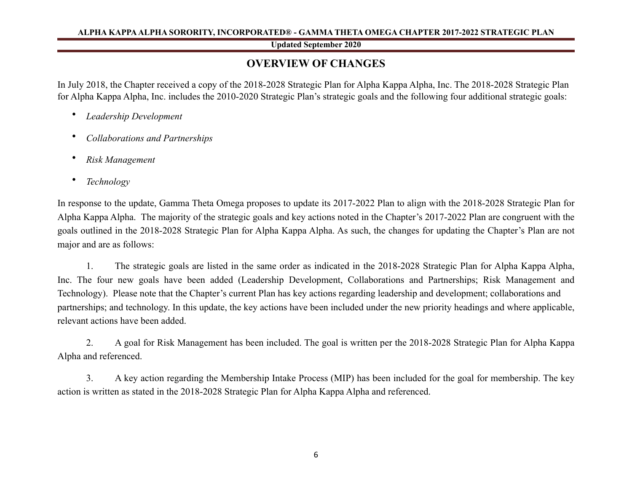#### **Updated September 2020**

# <span id="page-6-0"></span>**OVERVIEW OF CHANGES**

In July 2018, the Chapter received a copy of the 2018-2028 Strategic Plan for Alpha Kappa Alpha, Inc. The 2018-2028 Strategic Plan for Alpha Kappa Alpha, Inc. includes the 2010-2020 Strategic Plan's strategic goals and the following four additional strategic goals:

- *Leadership Development*
- *Collaborations and Partnerships*
- *Risk Management*
- *Technology*

In response to the update, Gamma Theta Omega proposes to update its 2017-2022 Plan to align with the 2018-2028 Strategic Plan for Alpha Kappa Alpha. The majority of the strategic goals and key actions noted in the Chapter's 2017-2022 Plan are congruent with the goals outlined in the 2018-2028 Strategic Plan for Alpha Kappa Alpha. As such, the changes for updating the Chapter's Plan are not major and are as follows:

 1. The strategic goals are listed in the same order as indicated in the 2018-2028 Strategic Plan for Alpha Kappa Alpha, Inc. The four new goals have been added (Leadership Development, Collaborations and Partnerships; Risk Management and Technology). Please note that the Chapter's current Plan has key actions regarding leadership and development; collaborations and partnerships; and technology. In this update, the key actions have been included under the new priority headings and where applicable, relevant actions have been added.

 2. A goal for Risk Management has been included. The goal is written per the 2018-2028 Strategic Plan for Alpha Kappa Alpha and referenced.

 3. A key action regarding the Membership Intake Process (MIP) has been included for the goal for membership. The key action is written as stated in the 2018-2028 Strategic Plan for Alpha Kappa Alpha and referenced.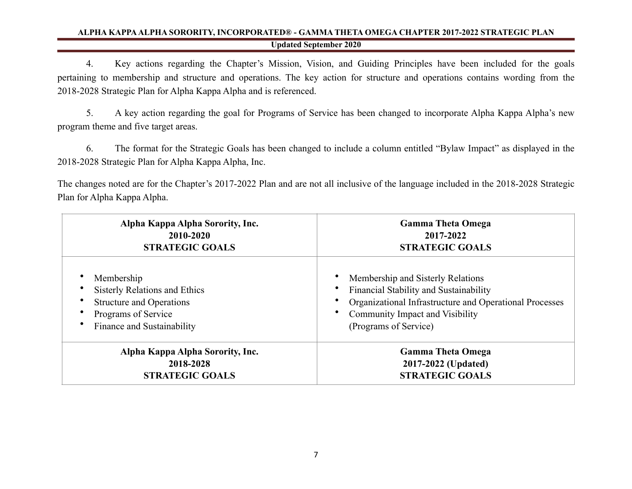4. Key actions regarding the Chapter's Mission, Vision, and Guiding Principles have been included for the goals pertaining to membership and structure and operations. The key action for structure and operations contains wording from the 2018-2028 Strategic Plan for Alpha Kappa Alpha and is referenced.

 5. A key action regarding the goal for Programs of Service has been changed to incorporate Alpha Kappa Alpha's new program theme and five target areas.

 6. The format for the Strategic Goals has been changed to include a column entitled "Bylaw Impact" as displayed in the 2018-2028 Strategic Plan for Alpha Kappa Alpha, Inc.

The changes noted are for the Chapter's 2017-2022 Plan and are not all inclusive of the language included in the 2018-2028 Strategic Plan for Alpha Kappa Alpha.

| Alpha Kappa Alpha Sorority, Inc. | <b>Gamma Theta Omega</b>                                |  |  |  |  |
|----------------------------------|---------------------------------------------------------|--|--|--|--|
| 2010-2020                        | 2017-2022                                               |  |  |  |  |
| <b>STRATEGIC GOALS</b>           | <b>STRATEGIC GOALS</b>                                  |  |  |  |  |
| Membership                       | Membership and Sisterly Relations                       |  |  |  |  |
| Sisterly Relations and Ethics    | Financial Stability and Sustainability                  |  |  |  |  |
| <b>Structure and Operations</b>  | Organizational Infrastructure and Operational Processes |  |  |  |  |
| Programs of Service              | Community Impact and Visibility                         |  |  |  |  |
| Finance and Sustainability       | (Programs of Service)                                   |  |  |  |  |
| Alpha Kappa Alpha Sorority, Inc. | <b>Gamma Theta Omega</b>                                |  |  |  |  |
| 2018-2028                        | 2017-2022 (Updated)                                     |  |  |  |  |
| <b>STRATEGIC GOALS</b>           | <b>STRATEGIC GOALS</b>                                  |  |  |  |  |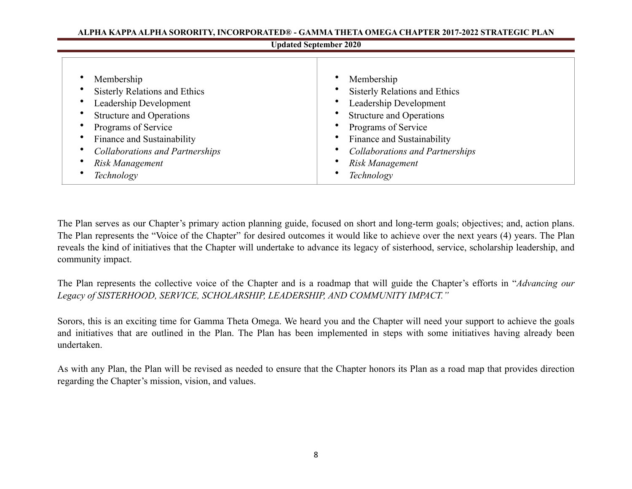#### **Updated September 2020**

| Membership                             | Membership                             |
|----------------------------------------|----------------------------------------|
| <b>Sisterly Relations and Ethics</b>   | <b>Sisterly Relations and Ethics</b>   |
| Leadership Development                 | Leadership Development                 |
| <b>Structure and Operations</b>        | <b>Structure and Operations</b>        |
| Programs of Service                    | Programs of Service                    |
| Finance and Sustainability             | Finance and Sustainability             |
| <b>Collaborations and Partnerships</b> | <b>Collaborations and Partnerships</b> |
| Risk Management                        | Risk Management                        |
| Technology                             | Technology                             |

The Plan serves as our Chapter's primary action planning guide, focused on short and long-term goals; objectives; and, action plans. The Plan represents the "Voice of the Chapter" for desired outcomes it would like to achieve over the next years (4) years. The Plan reveals the kind of initiatives that the Chapter will undertake to advance its legacy of sisterhood, service, scholarship leadership, and community impact.

The Plan represents the collective voice of the Chapter and is a roadmap that will guide the Chapter's efforts in "*Advancing our Legacy of SISTERHOOD, SERVICE, SCHOLARSHIP, LEADERSHIP, AND COMMUNITY IMPACT."* 

Sorors, this is an exciting time for Gamma Theta Omega. We heard you and the Chapter will need your support to achieve the goals and initiatives that are outlined in the Plan. The Plan has been implemented in steps with some initiatives having already been undertaken.

As with any Plan, the Plan will be revised as needed to ensure that the Chapter honors its Plan as a road map that provides direction regarding the Chapter's mission, vision, and values.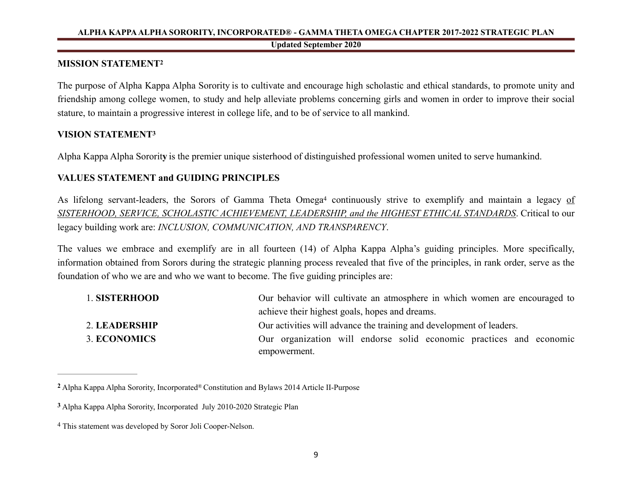#### <span id="page-9-4"></span><span id="page-9-0"></span>**MISSION STATEMENT[2](#page-9-1)**

The purpose of Alpha Kappa Alpha Sorority is to cultivate and encourage high scholastic and ethical standards, to promote unity and friendship among college women, to study and help alleviate problems concerning girls and women in order to improve their social stature, to maintain a progressive interest in college life, and to be of service to all mankind.

#### <span id="page-9-5"></span>**VISION STATEMEN[T3](#page-9-2)**

Alpha Kappa Alpha Sororit**y** is the premier unique sisterhood of distinguished professional women united to serve humankind.

# **VALUES STATEMENT and GUIDING PRINCIPLES**

Aslifelong servant-leaders, the Sorors of Gamma Theta Omega<sup>[4](#page-9-3)</sup> continuously strive to exemplify and maintain a legacy of *SISTERHOOD, SERVICE, SCHOLASTIC ACHIEVEMENT, LEADERSHIP, and the HIGHEST ETHICAL STANDARDS*. Critical to our legacy building work are: *INCLUSION, COMMUNICATION, AND TRANSPARENCY*.

The values we embrace and exemplify are in all fourteen (14) of Alpha Kappa Alpha's guiding principles. More specifically, information obtained from Sorors during the strategic planning process revealed that five of the principles, in rank order, serve as the foundation of who we are and who we want to become. The five guiding principles are:

<span id="page-9-6"></span>

| 1. SISTERHOOD | Our behavior will cultivate an atmosphere in which women are encouraged to          |  |  |  |  |  |
|---------------|-------------------------------------------------------------------------------------|--|--|--|--|--|
|               | achieve their highest goals, hopes and dreams.                                      |  |  |  |  |  |
| 2. LEADERSHIP | Our activities will advance the training and development of leaders.                |  |  |  |  |  |
| 3. ECONOMICS  | Our organization will endorse solid economic practices and economic<br>empowerment. |  |  |  |  |  |

<span id="page-9-1"></span>Alpha Kappa Alpha Sorority, Incorporated® Constitution and Bylaws 2014 Article II-Purpose **[2](#page-9-4)**

<span id="page-9-2"></span>Alpha Kappa Alpha Sorority, Incorporated July 2010-2020 Strategic Plan **[3](#page-9-5)**

<span id="page-9-3"></span>This statement was developed by Soror Joli Cooper-Nelson. [4](#page-9-6)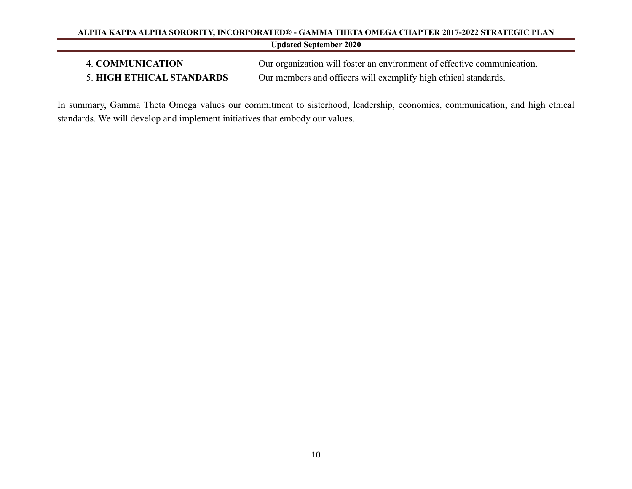# **Updated September 2020**

4. **COMMUNICATION** Our organization will foster an environment of effective communication. 5. **HIGH ETHICAL STANDARDS** Our members and officers will exemplify high ethical standards.

In summary, Gamma Theta Omega values our commitment to sisterhood, leadership, economics, communication, and high ethical standards. We will develop and implement initiatives that embody our values.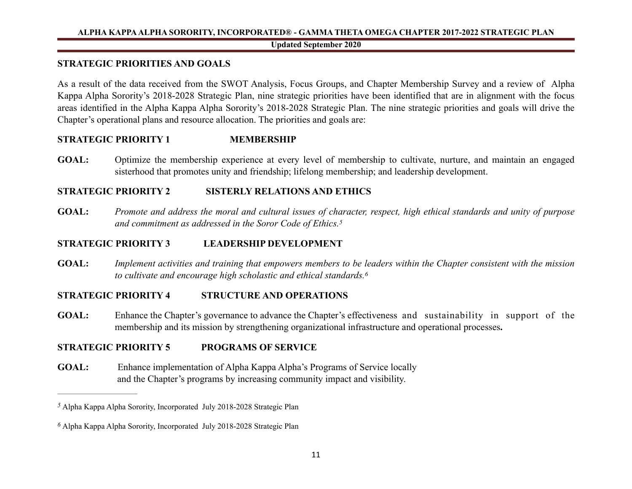#### <span id="page-11-4"></span><span id="page-11-3"></span>**Updated September 2020**

# <span id="page-11-0"></span>**STRATEGIC PRIORITIES AND GOALS**

As a result of the data received from the SWOT Analysis, Focus Groups, and Chapter Membership Survey and a review of Alpha Kappa Alpha Sorority's 2018-2028 Strategic Plan, nine strategic priorities have been identified that are in alignment with the focus areas identified in the Alpha Kappa Alpha Sorority's 2018-2028 Strategic Plan. The nine strategic priorities and goals will drive the Chapter's operational plans and resource allocation. The priorities and goals are:

# **STRATEGIC PRIORITY 1 MEMBERSHIP**

**GOAL:** Optimize the membership experience at every level of membership to cultivate, nurture, and maintain an engaged sisterhood that promotes unity and friendship; lifelong membership; and leadership development.

# **STRATEGIC PRIORITY 2 SISTERLY RELATIONS AND ETHICS**

**GOAL:** *Promote and address the moral and cultural issues of character, respect, high ethical standards and unity of purpose and commitment as addressed in the Soror Code of Ethics[.5](#page-11-1)*

# **STRATEGIC PRIORITY 3 LEADERSHIP DEVELOPMENT**

**GOAL:** *Implement activities and training that empowers members to be leaders within the Chapter consistent with the mission to cultivate and encourage high scholastic and ethical standards[.6](#page-11-2)*

# **STRATEGIC PRIORITY 4 STRUCTURE AND OPERATIONS**

**GOAL:** Enhance the Chapter's governance to advance the Chapter's effectiveness and sustainability in support of the membership and its mission by strengthening organizational infrastructure and operational processes**.** 

# **STRATEGIC PRIORITY 5 PROGRAMS OF SERVICE**

**GOAL:** Enhance implementation of Alpha Kappa Alpha's Programs of Service locally and the Chapter's programs by increasing community impact and visibility.

<span id="page-11-1"></span>Alpha Kappa Alpha Sorority, Incorporated July 2018-2028 Strategic Plan *[5](#page-11-3)*

<span id="page-11-2"></span>Alpha Kappa Alpha Sorority, Incorporated July 2018-2028 Strategic Plan *[6](#page-11-4)*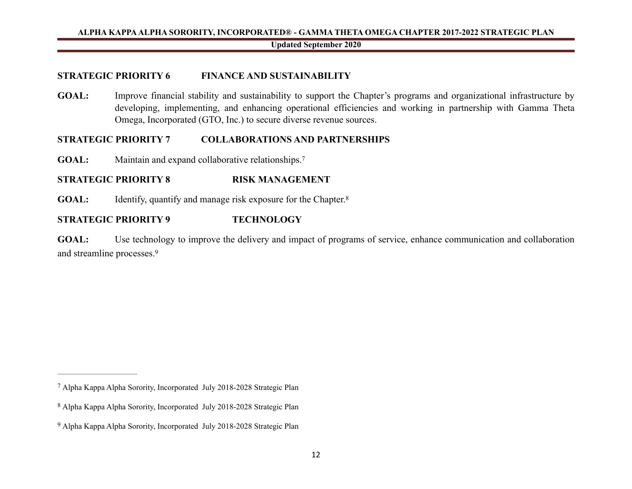#### **STRATEGIC PRIORITY 6 FINANCE AND SUSTAINABILITY**

GOAL: Improve financial stability and sustainability to support the Chapter's programs and organizational infrastructure by developing, implementing, and enhancing operational efficiencies and working in partnership with Gamma Theta Omega, Incorporated (GTO, Inc.) to secure diverse revenue sources.

#### **STRATEGIC PRIORITY 7 COLLABORATIONS AND PARTNERSHIPS**

<span id="page-12-3"></span>GOAL: Maintain and expand collaborative relationships.<sup>7</sup>

# **STRATEGIC PRIORITY 8 RISK MANAGEMENT**

<span id="page-12-4"></span>**GOAL:** Identify, quantify and manage risk exposure for the Chapter.<sup>8</sup>

# **STRATEGIC PRIORITY 9 TECHNOLOGY**

<span id="page-12-5"></span>**GOAL:** Use technology to improve the delivery and impact of programs of service, enhance communication and collaboration and streamline processes[.9](#page-12-2)

<span id="page-12-0"></span>Alpha Kappa Alpha Sorority, Incorporated July 2018-2028 Strategic Plan [7](#page-12-3)

<span id="page-12-1"></span>Alpha Kappa Alpha Sorority, Incorporated July 2018-2028 Strategic Plan [8](#page-12-4)

<span id="page-12-2"></span><sup>&</sup>lt;sup>[9](#page-12-5)</sup> Alpha Kappa Alpha Sorority, Incorporated July 2018-2028 Strategic Plan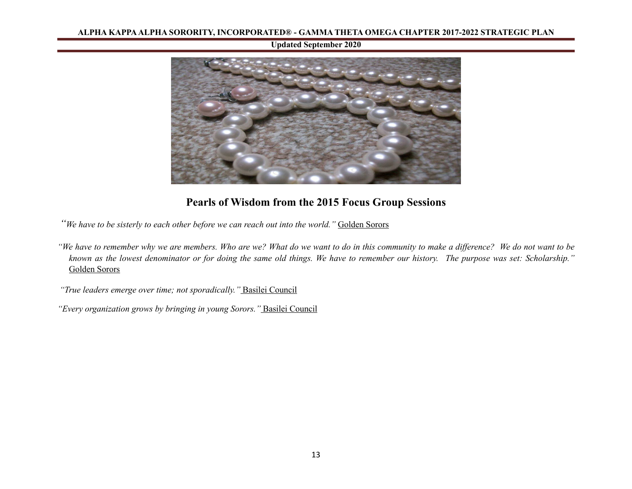#### **Updated September 2020**



# **Pearls of Wisdom from the 2015 Focus Group Sessions**

*"We have to be sisterly to each other before we can reach out into the world."* Golden Sorors

*"We have to remember why we are members. Who are we? What do we want to do in this community to make a difference? We do not want to be known as the lowest denominator or for doing the same old things. We have to remember our history. The purpose was set: Scholarship."*  Golden Sorors

 *"True leaders emerge over time; not sporadically."* Basilei Council

*"Every organization grows by bringing in young Sorors."* Basilei Council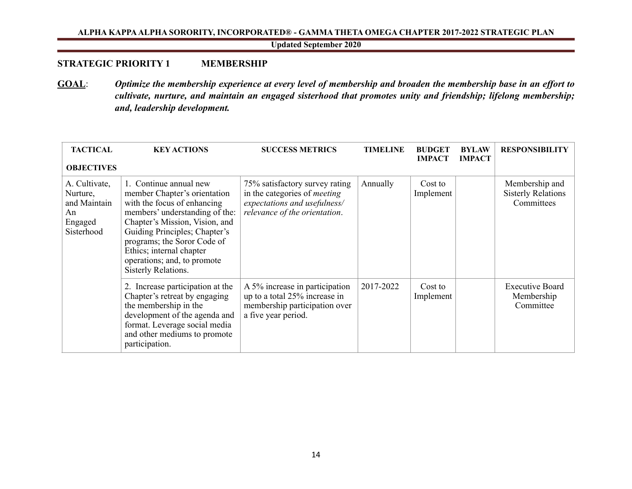<span id="page-14-0"></span>**Updated September 2020**

#### **STRATEGIC PRIORITY 1 MEMBERSHIP**

**GOAL**: *Optimize the membership experience at every level of membership and broaden the membership base in an effort to cultivate, nurture, and maintain an engaged sisterhood that promotes unity and friendship; lifelong membership; and, leadership development.* 

| <b>TACTICAL</b><br><b>OBJECTIVES</b>                                     | <b>KEY ACTIONS</b>                                                                                                                                                                                                                                                                                          | <b>SUCCESS METRICS</b>                                                                                                                 | <b>TIMELINE</b> | <b>BUDGET</b><br><b>IMPACT</b> | <b>BYLAW</b><br><b>IMPACT</b> | <b>RESPONSIBILITY</b>                                     |
|--------------------------------------------------------------------------|-------------------------------------------------------------------------------------------------------------------------------------------------------------------------------------------------------------------------------------------------------------------------------------------------------------|----------------------------------------------------------------------------------------------------------------------------------------|-----------------|--------------------------------|-------------------------------|-----------------------------------------------------------|
| A. Cultivate,<br>Nurture,<br>and Maintain<br>An<br>Engaged<br>Sisterhood | 1. Continue annual new<br>member Chapter's orientation<br>with the focus of enhancing<br>members' understanding of the:<br>Chapter's Mission, Vision, and<br>Guiding Principles; Chapter's<br>programs; the Soror Code of<br>Ethics; internal chapter<br>operations; and, to promote<br>Sisterly Relations. | 75% satisfactory survey rating<br>in the categories of <i>meeting</i><br>expectations and usefulness/<br>relevance of the orientation. | Annually        | Cost to<br>Implement           |                               | Membership and<br><b>Sisterly Relations</b><br>Committees |
|                                                                          | 2. Increase participation at the<br>Chapter's retreat by engaging<br>the membership in the<br>development of the agenda and<br>format. Leverage social media<br>and other mediums to promote<br>participation.                                                                                              | A 5% increase in participation<br>up to a total 25% increase in<br>membership participation over<br>a five year period.                | 2017-2022       | Cost to<br>Implement           |                               | <b>Executive Board</b><br>Membership<br>Committee         |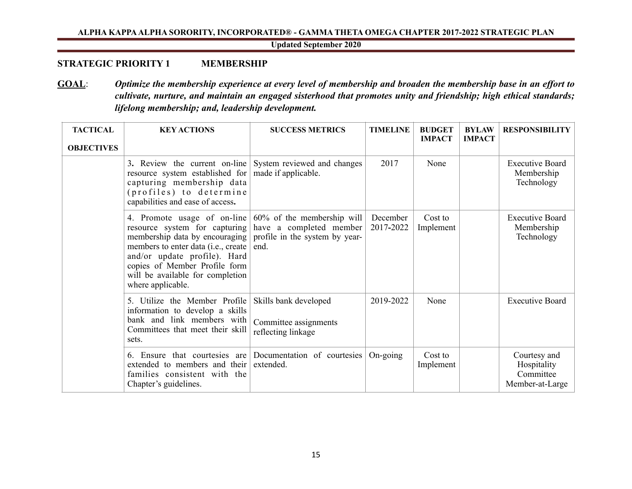**Updated September 2020**

# **STRATEGIC PRIORITY 1 MEMBERSHIP**

**GOAL**: *Optimize the membership experience at every level of membership and broaden the membership base in an effort to cultivate, nurture, and maintain an engaged sisterhood that promotes unity and friendship; high ethical standards; lifelong membership; and, leadership development.* 

| <b>TACTICAL</b><br><b>OBJECTIVES</b> | <b>KEY ACTIONS</b>                                                                                                                                                                                                                                                                            | <b>SUCCESS METRICS</b>                                               | <b>TIMELINE</b>       | <b>BUDGET</b><br><b>IMPACT</b> | <b>BYLAW</b><br><b>IMPACT</b> | <b>RESPONSIBILITY</b>                                       |
|--------------------------------------|-----------------------------------------------------------------------------------------------------------------------------------------------------------------------------------------------------------------------------------------------------------------------------------------------|----------------------------------------------------------------------|-----------------------|--------------------------------|-------------------------------|-------------------------------------------------------------|
|                                      | 3. Review the current on-line System reviewed and changes<br>resource system established for<br>capturing membership data<br>(profiles) to determine<br>capabilities and ease of access.                                                                                                      | made if applicable.                                                  | 2017                  | None                           |                               | <b>Executive Board</b><br>Membership<br>Technology          |
|                                      | 4. Promote usage of on-line $60\%$ of the membership will<br>resource system for capturing<br>membership data by encouraging<br>members to enter data (i.e., create<br>and/or update profile). Hard<br>copies of Member Profile form<br>will be available for completion<br>where applicable. | have a completed member<br>profile in the system by year-<br>end.    | December<br>2017-2022 | Cost to<br>Implement           |                               | <b>Executive Board</b><br>Membership<br>Technology          |
|                                      | 5. Utilize the Member Profile<br>information to develop a skills<br>bank and link members with<br>Committees that meet their skill<br>sets.                                                                                                                                                   | Skills bank developed<br>Committee assignments<br>reflecting linkage | 2019-2022             | None                           |                               | <b>Executive Board</b>                                      |
|                                      | 6. Ensure that courtesies are<br>extended to members and their<br>families consistent with the<br>Chapter's guidelines.                                                                                                                                                                       | Documentation of courtesies<br>extended.                             | On-going              | Cost to<br>Implement           |                               | Courtesy and<br>Hospitality<br>Committee<br>Member-at-Large |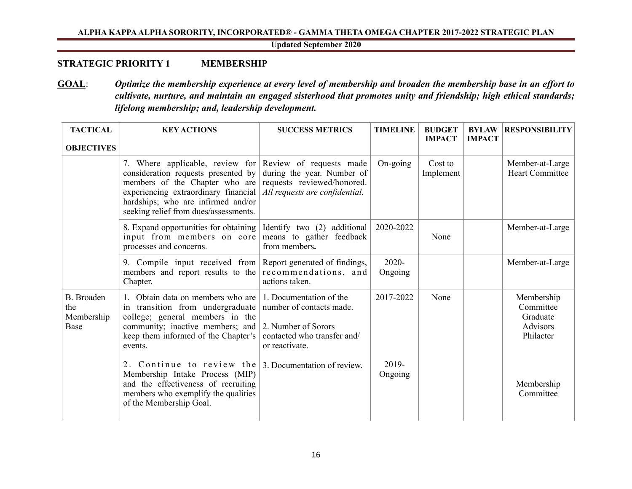**Updated September 2020**

# **STRATEGIC PRIORITY 1 MEMBERSHIP**

**GOAL**: *Optimize the membership experience at every level of membership and broaden the membership base in an effort to cultivate, nurture, and maintain an engaged sisterhood that promotes unity and friendship; high ethical standards; lifelong membership; and, leadership development.* 

| <b>TACTICAL</b><br><b>OBJECTIVES</b>           | <b>KEY ACTIONS</b>                                                                                                                                                                                                                                      | <b>SUCCESS METRICS</b>                                                                                                      | <b>TIMELINE</b>     | <b>BUDGET</b><br><b>IMPACT</b> | <b>BYLAW</b><br><b>IMPACT</b> | <b>RESPONSIBILITY</b>                                        |
|------------------------------------------------|---------------------------------------------------------------------------------------------------------------------------------------------------------------------------------------------------------------------------------------------------------|-----------------------------------------------------------------------------------------------------------------------------|---------------------|--------------------------------|-------------------------------|--------------------------------------------------------------|
|                                                | 7. Where applicable, review for Review of requests made<br>consideration requests presented by<br>members of the Chapter who are<br>experiencing extraordinary financial<br>hardships; who are infirmed and/or<br>seeking relief from dues/assessments. | during the year. Number of<br>requests reviewed/honored.<br>All requests are confidential.                                  | On-going            | Cost to<br>Implement           |                               | Member-at-Large<br><b>Heart Committee</b>                    |
|                                                | 8. Expand opportunities for obtaining<br>input from members on core<br>processes and concerns.                                                                                                                                                          | Identify two (2) additional<br>means to gather feedback<br>from members.                                                    | 2020-2022           | None                           |                               | Member-at-Large                                              |
|                                                | 9. Compile input received from Report generated of findings,<br>members and report results to the<br>Chapter.                                                                                                                                           | recommendations, and<br>actions taken.                                                                                      | $2020 -$<br>Ongoing |                                |                               | Member-at-Large                                              |
| <b>B.</b> Broaden<br>the<br>Membership<br>Base | Obtain data on members who are<br>in transition from undergraduate<br>college; general members in the<br>community; inactive members; and<br>keep them informed of the Chapter's<br>events.                                                             | 1. Documentation of the<br>number of contacts made.<br>2. Number of Sorors<br>contacted who transfer and/<br>or reactivate. | 2017-2022           | None                           |                               | Membership<br>Committee<br>Graduate<br>Advisors<br>Philacter |
|                                                | 2. Continue to review the<br>Membership Intake Process (MIP)<br>and the effectiveness of recruiting<br>members who exemplify the qualities<br>of the Membership Goal.                                                                                   | 3. Documentation of review.                                                                                                 | 2019-<br>Ongoing    |                                |                               | Membership<br>Committee                                      |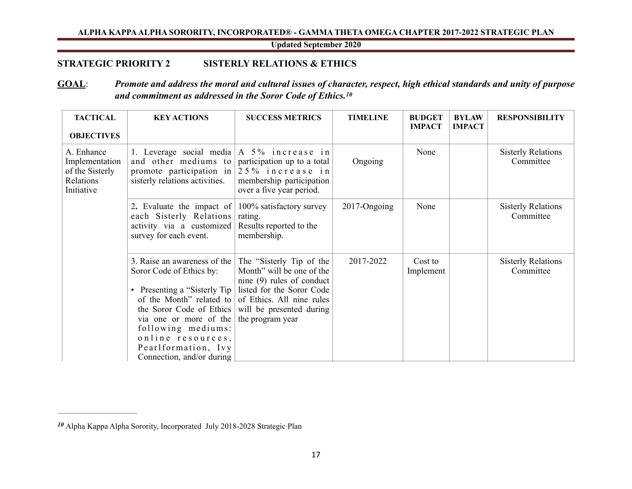<span id="page-17-2"></span><span id="page-17-0"></span>**Updated September 2020**

# **STRATEGIC PRIORITY 2 SISTERLY RELATIONS & ETHICS**

# **GOAL**: *Promote and address the moral and cultural issues of character, respect, high ethical standards and unity of purpose and commitment as addressed in the Soror Code of Ethics[.10](#page-17-1)*

| <b>TACTICAL</b><br><b>OBJECTIVES</b>                                       | <b>KEY ACTIONS</b>                                                                                                                                                                                                                                                                   | <b>SUCCESS METRICS</b>                                                                                                                                                                         | <b>TIMELINE</b> | <b>BUDGET</b><br><b>IMPACT</b> | <b>BYLAW</b><br><b>IMPACT</b> | <b>RESPONSIBILITY</b>                  |
|----------------------------------------------------------------------------|--------------------------------------------------------------------------------------------------------------------------------------------------------------------------------------------------------------------------------------------------------------------------------------|------------------------------------------------------------------------------------------------------------------------------------------------------------------------------------------------|-----------------|--------------------------------|-------------------------------|----------------------------------------|
| A. Enhance<br>Implementation<br>of the Sisterly<br>Relations<br>Initiative | 1. Leverage social media $A$ 5% increase in<br>and other mediums to participation up to a total<br>promote participation in<br>sisterly relations activities.                                                                                                                        | 25% increase in<br>membership participation<br>over a five year period.                                                                                                                        | Ongoing         | None                           |                               | <b>Sisterly Relations</b><br>Committee |
|                                                                            | 2. Evaluate the impact of $\vert 100\%$ satisfactory survey<br>each Sisterly Relations<br>activity via a customized<br>survey for each event.                                                                                                                                        | rating.<br>Results reported to the<br>membership.                                                                                                                                              | 2017-Ongoing    | None                           |                               | <b>Sisterly Relations</b><br>Committee |
|                                                                            | 3. Raise an awareness of the<br>Soror Code of Ethics by:<br>Presenting a "Sisterly Tip<br>$\bullet$<br>of the Month" related to<br>the Soror Code of Ethics<br>via one or more of the<br>following mediums:<br>online resources,<br>Pearlformation, Ivy<br>Connection, and/or during | The "Sisterly Tip of the<br>Month" will be one of the<br>nine $(9)$ rules of conduct<br>listed for the Soror Code<br>of Ethics. All nine rules<br>will be presented during<br>the program year | 2017-2022       | Cost to<br>Implement           |                               | <b>Sisterly Relations</b><br>Committee |

<span id="page-17-1"></span>Alpha Kappa Alpha Sorority, Incorporated July 2018-2028 Strategic Plan *[10](#page-17-2)*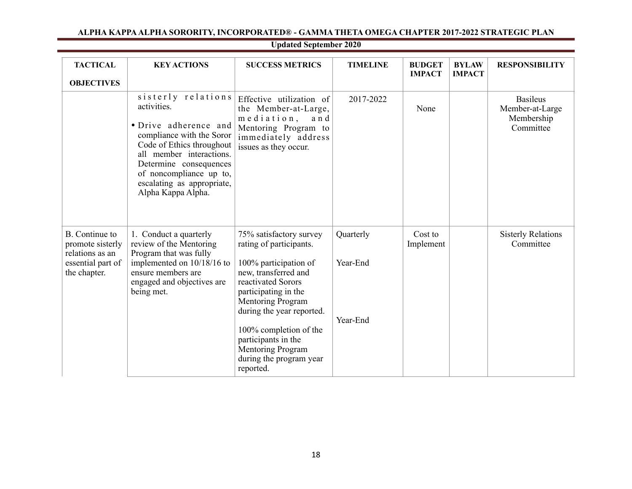| <b>TACTICAL</b><br><b>OBJECTIVES</b>                                                       | <b>KEY ACTIONS</b>                                                                                                                                                                                                                                        | <b>SUCCESS METRICS</b>                                                                                                                                                                                                                                                                                                   | <b>TIMELINE</b>                   | <b>BUDGET</b><br><b>IMPACT</b> | <b>BYLAW</b><br><b>IMPACT</b> | <b>RESPONSIBILITY</b>                                         |
|--------------------------------------------------------------------------------------------|-----------------------------------------------------------------------------------------------------------------------------------------------------------------------------------------------------------------------------------------------------------|--------------------------------------------------------------------------------------------------------------------------------------------------------------------------------------------------------------------------------------------------------------------------------------------------------------------------|-----------------------------------|--------------------------------|-------------------------------|---------------------------------------------------------------|
|                                                                                            | sisterly relations<br>activities.<br>• Drive adherence and<br>compliance with the Soror<br>Code of Ethics throughout<br>all member interactions.<br>Determine consequences<br>of noncompliance up to,<br>escalating as appropriate,<br>Alpha Kappa Alpha. | Effective utilization of<br>the Member-at-Large,<br>$m$ e diation,<br>and<br>Mentoring Program to<br>immediately address<br>issues as they occur.                                                                                                                                                                        | 2017-2022                         | None                           |                               | <b>Basileus</b><br>Member-at-Large<br>Membership<br>Committee |
| B. Continue to<br>promote sisterly<br>relations as an<br>essential part of<br>the chapter. | 1. Conduct a quarterly<br>review of the Mentoring<br>Program that was fully<br>implemented on 10/18/16 to<br>ensure members are<br>engaged and objectives are<br>being met.                                                                               | 75% satisfactory survey<br>rating of participants.<br>100% participation of<br>new, transferred and<br>reactivated Sorors<br>participating in the<br>Mentoring Program<br>during the year reported.<br>100% completion of the<br>participants in the<br><b>Mentoring Program</b><br>during the program year<br>reported. | Quarterly<br>Year-End<br>Year-End | Cost to<br>Implement           |                               | <b>Sisterly Relations</b><br>Committee                        |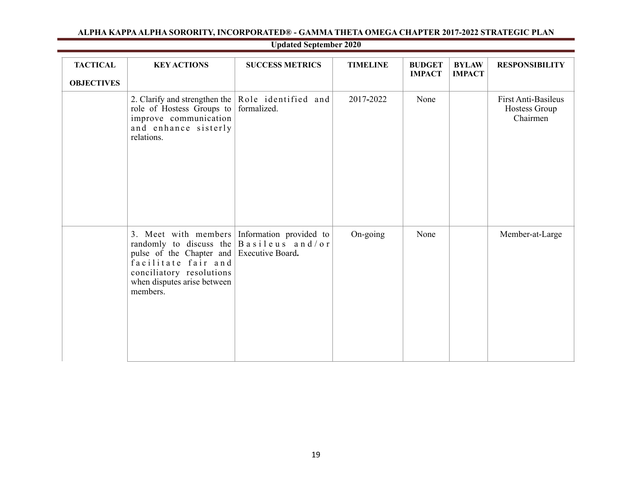| <b>TACTICAL</b><br><b>OBJECTIVES</b> | <b>KEY ACTIONS</b>                                                                                                                                                                                                                                     | <b>SUCCESS METRICS</b> | <b>TIMELINE</b> | <b>BUDGET</b><br><b>IMPACT</b> | <b>BYLAW</b><br><b>IMPACT</b> | <b>RESPONSIBILITY</b>                                   |
|--------------------------------------|--------------------------------------------------------------------------------------------------------------------------------------------------------------------------------------------------------------------------------------------------------|------------------------|-----------------|--------------------------------|-------------------------------|---------------------------------------------------------|
|                                      | 2. Clarify and strengthen the $\vert$ Role identified and<br>role of Hostess Groups to formalized.<br>improve communication<br>and enhance sisterly<br>relations.                                                                                      |                        | 2017-2022       | None                           |                               | <b>First Anti-Basileus</b><br>Hostess Group<br>Chairmen |
|                                      | 3. Meet with members Information provided to<br>randomly to discuss the $\vert$ B a s i l e u s a n d / o r<br>pulse of the Chapter and Executive Board.<br>facilitate fair and<br>conciliatory resolutions<br>when disputes arise between<br>members. |                        | On-going        | None                           |                               | Member-at-Large                                         |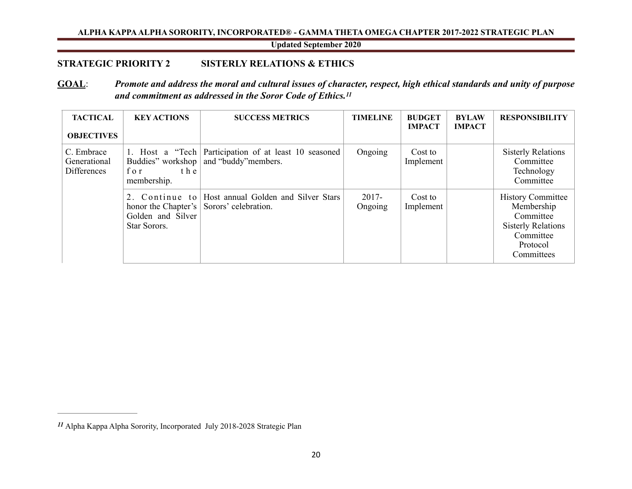<span id="page-20-1"></span>**Updated September 2020**

# **STRATEGIC PRIORITY 2 SISTERLY RELATIONS & ETHICS**

# **GOAL**: *Promote and address the moral and cultural issues of character, respect, high ethical standards and unity of purpose and commitment as addressed in the Soror Code of Ethics[.11](#page-20-0)*

| <b>TACTICAL</b><br><b>OBJECTIVES</b>      | <b>KEY ACTIONS</b>                                                           | <b>SUCCESS METRICS</b>                                                        | <b>TIMELINE</b>     | <b>BUDGET</b><br><b>IMPACT</b> | <b>BYLAW</b><br><b>IMPACT</b> | <b>RESPONSIBILITY</b>                                                                                                   |
|-------------------------------------------|------------------------------------------------------------------------------|-------------------------------------------------------------------------------|---------------------|--------------------------------|-------------------------------|-------------------------------------------------------------------------------------------------------------------------|
| C. Embrace<br>Generational<br>Differences | Buddies" workshop<br>the<br>for<br>membership.                               | 1. Host a "Tech Participation of at least 10 seasoned<br>and "buddy" members. | Ongoing             | Cost to<br>Implement           |                               | <b>Sisterly Relations</b><br>Committee<br>Technology<br>Committee                                                       |
|                                           | 2. Continue to<br>honor the Chapter's  <br>Golden and Silver<br>Star Sorors. | Host annual Golden and Silver Stars<br>Sorors' celebration.                   | $2017 -$<br>Ongoing | Cost to<br>Implement           |                               | <b>History Committee</b><br>Membership<br>Committee<br><b>Sisterly Relations</b><br>Committee<br>Protocol<br>Committees |

<span id="page-20-0"></span>Alpha Kappa Alpha Sorority, Incorporated July 2018-2028 Strategic Plan *[11](#page-20-1)*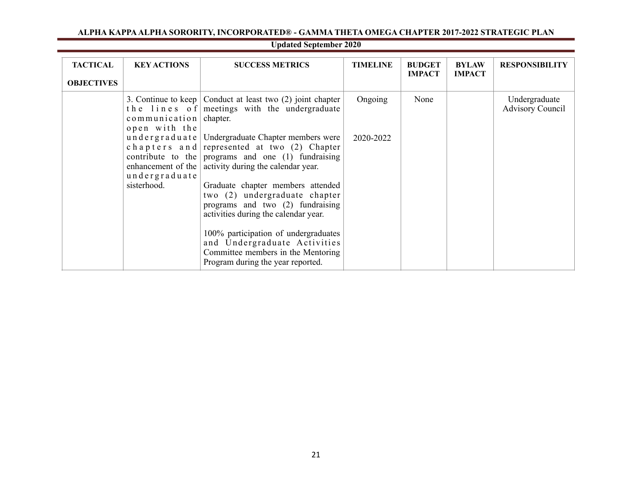| <b>TACTICAL</b><br><b>OBJECTIVES</b> | <b>KEY ACTIONS</b>                                    | <b>SUCCESS METRICS</b>                                                                                                                                                                          | <b>TIMELINE</b> | <b>BUDGET</b><br><b>IMPACT</b> | <b>BYLAW</b><br><b>IMPACT</b> | <b>RESPONSIBILITY</b>                    |
|--------------------------------------|-------------------------------------------------------|-------------------------------------------------------------------------------------------------------------------------------------------------------------------------------------------------|-----------------|--------------------------------|-------------------------------|------------------------------------------|
|                                      | $commutation$ communication chapter.<br>open with the | 3. Continue to keep $\vert$ Conduct at least two (2) joint chapter<br>the lines of meetings with the undergraduate                                                                              | Ongoing         | None                           |                               | Undergraduate<br><b>Advisory Council</b> |
|                                      | enhancement of the $\vert$<br>undergraduate           | undergraduate Undergraduate Chapter members were<br>chapters and represented at two $(2)$ Chapter<br>contribute to the programs and one $(1)$ fundraising<br>activity during the calendar year. | 2020-2022       |                                |                               |                                          |
|                                      | sisterhood.                                           | Graduate chapter members attended<br>two (2) undergraduate chapter<br>programs and two (2) fundraising<br>activities during the calendar year.                                                  |                 |                                |                               |                                          |
|                                      |                                                       | 100% participation of undergraduates<br>and Undergraduate Activities<br>Committee members in the Mentoring<br>Program during the year reported.                                                 |                 |                                |                               |                                          |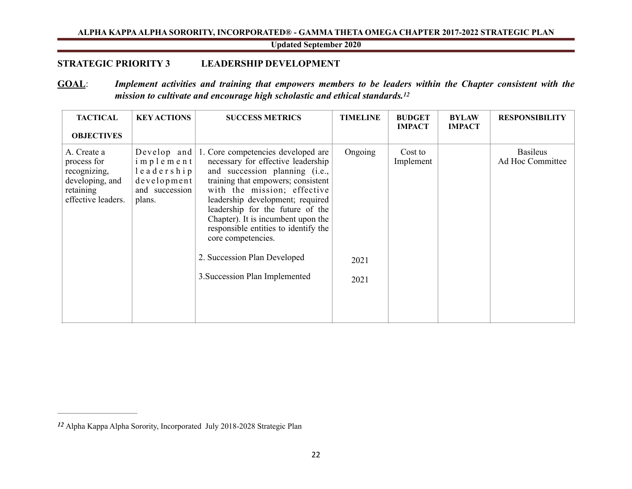<span id="page-22-2"></span><span id="page-22-0"></span>**Updated September 2020**

# **STRATEGIC PRIORITY 3 LEADERSHIP DEVELOPMENT**

# **GOAL**: *Implement activities and training that empowers members to be leaders within the Chapter consistent with the mission to cultivate and encourage high scholastic and ethical standards[.12](#page-22-1)*

| <b>TACTICAL</b><br><b>OBJECTIVES</b>                                                             | <b>KEY ACTIONS</b>                                                 | <b>SUCCESS METRICS</b>                                                                                                                                                                                                                                                                                                                                                                                                                            | <b>TIMELINE</b>         | <b>BUDGET</b><br><b>IMPACT</b> | <b>BYLAW</b><br><b>IMPACT</b> | <b>RESPONSIBILITY</b>               |
|--------------------------------------------------------------------------------------------------|--------------------------------------------------------------------|---------------------------------------------------------------------------------------------------------------------------------------------------------------------------------------------------------------------------------------------------------------------------------------------------------------------------------------------------------------------------------------------------------------------------------------------------|-------------------------|--------------------------------|-------------------------------|-------------------------------------|
| A. Create a<br>process for<br>recognizing,<br>developing, and<br>retaining<br>effective leaders. | implement<br>leadership<br>development<br>and succession<br>plans. | Develop and $\vert$ 1. Core competencies developed are<br>necessary for effective leadership<br>and succession planning (i.e.,<br>training that empowers; consistent<br>with the mission; effective<br>leadership development; required<br>leadership for the future of the<br>Chapter). It is incumbent upon the<br>responsible entities to identify the<br>core competencies.<br>2. Succession Plan Developed<br>3. Succession Plan Implemented | Ongoing<br>2021<br>2021 | Cost to<br>Implement           |                               | <b>Basileus</b><br>Ad Hoc Committee |

<span id="page-22-1"></span>Alpha Kappa Alpha Sorority, Incorporated July 2018-2028 Strategic Plan *[12](#page-22-2)*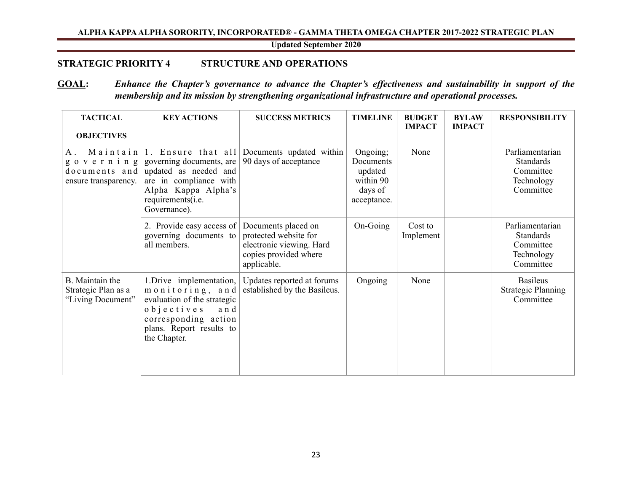<span id="page-23-0"></span>**Updated September 2020**

# **STRATEGIC PRIORITY 4 STRUCTURE AND OPERATIONS**

# **GOAL:** *Enhance the Chapter's governance to advance the Chapter's effectiveness and sustainability in support of the membership and its mission by strengthening organizational infrastructure and operational processes.*

| <b>TACTICAL</b><br><b>OBJECTIVES</b>                                   | <b>KEY ACTIONS</b>                                                                                                                                                         | <b>SUCCESS METRICS</b>                                                                                           | <b>TIMELINE</b>                                                         | <b>BUDGET</b><br><b>IMPACT</b> | <b>BYLAW</b><br><b>IMPACT</b> | <b>RESPONSIBILITY</b>                                                       |
|------------------------------------------------------------------------|----------------------------------------------------------------------------------------------------------------------------------------------------------------------------|------------------------------------------------------------------------------------------------------------------|-------------------------------------------------------------------------|--------------------------------|-------------------------------|-----------------------------------------------------------------------------|
| $A$ .<br>$g \circ v$ erning<br>$documents$ and<br>ensure transparency. | Maintain $ 1$ . Ensure that all<br>governing documents, are<br>updated as needed and<br>are in compliance with<br>Alpha Kappa Alpha's<br>requirements(i.e.<br>Governance). | Documents updated within<br>90 days of acceptance                                                                | Ongoing;<br>Documents<br>updated<br>within 90<br>days of<br>acceptance. | None                           |                               | Parliamentarian<br><b>Standards</b><br>Committee<br>Technology<br>Committee |
|                                                                        | 2. Provide easy access of<br>governing documents to<br>all members.                                                                                                        | Documents placed on<br>protected website for<br>electronic viewing. Hard<br>copies provided where<br>applicable. | On-Going                                                                | Cost to<br>Implement           |                               | Parliamentarian<br><b>Standards</b><br>Committee<br>Technology<br>Committee |
| B. Maintain the<br>Strategic Plan as a<br>"Living Document"            | 1. Drive implementation,<br>monitoring, and<br>evaluation of the strategic<br>$o b$ jectives<br>and<br>corresponding action<br>plans. Report results to<br>the Chapter.    | Updates reported at forums<br>established by the Basileus.                                                       | Ongoing                                                                 | None                           |                               | <b>Basileus</b><br><b>Strategic Planning</b><br>Committee                   |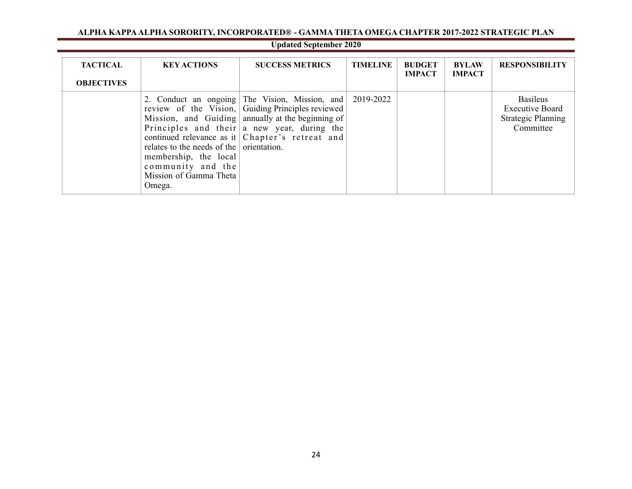| <b>TACTICAL</b><br><b>OBJECTIVES</b> | <b>KEY ACTIONS</b>                                                                                                         | <b>SUCCESS METRICS</b>                                                                                                                                                                                                                                             | <b>TIMELINE</b> | <b>BUDGET</b><br><b>IMPACT</b> | <b>BYLAW</b><br><b>IMPACT</b> | <b>RESPONSIBILITY</b>                                                               |
|--------------------------------------|----------------------------------------------------------------------------------------------------------------------------|--------------------------------------------------------------------------------------------------------------------------------------------------------------------------------------------------------------------------------------------------------------------|-----------------|--------------------------------|-------------------------------|-------------------------------------------------------------------------------------|
|                                      | relates to the needs of the orientation.<br>membership, the local<br>community and the<br>Mission of Gamma Theta<br>Omega. | 2. Conduct an ongoing The Vision, Mission, and<br>review of the Vision, Guiding Principles reviewed<br>Mission, and Guiding annually at the beginning of<br>Principles and their $ a $ new year, during the<br>continued relevance as it $ $ Chapter's retreat and | 2019-2022       |                                |                               | <b>Basileus</b><br><b>Executive Board</b><br><b>Strategic Planning</b><br>Committee |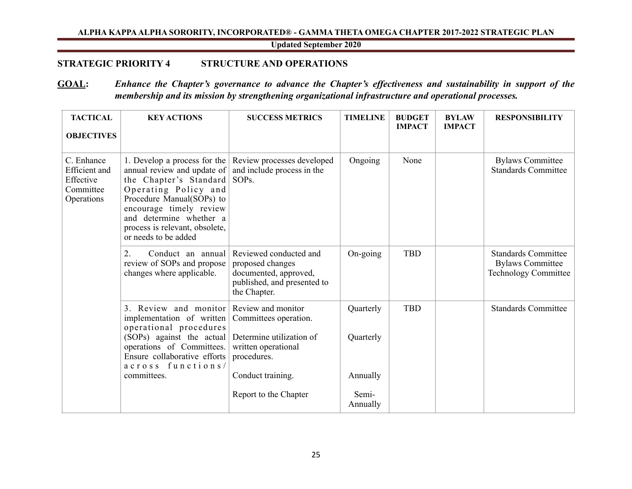**Updated September 2020**

# **STRATEGIC PRIORITY 4 STRUCTURE AND OPERATIONS**

# **GOAL:** *Enhance the Chapter's governance to advance the Chapter's effectiveness and sustainability in support of the membership and its mission by strengthening organizational infrastructure and operational processes.*

| <b>TACTICAL</b><br><b>OBJECTIVES</b>                                       | <b>KEY ACTIONS</b>                                                                                                                                                                                                                                         | <b>SUCCESS METRICS</b>                                                                                             | <b>TIMELINE</b>        | <b>BUDGET</b><br><b>IMPACT</b> | <b>BYLAW</b><br><b>IMPACT</b> | <b>RESPONSIBILITY</b>                                                                |
|----------------------------------------------------------------------------|------------------------------------------------------------------------------------------------------------------------------------------------------------------------------------------------------------------------------------------------------------|--------------------------------------------------------------------------------------------------------------------|------------------------|--------------------------------|-------------------------------|--------------------------------------------------------------------------------------|
| C. Enhance<br><b>Efficient</b> and<br>Effective<br>Committee<br>Operations | 1. Develop a process for the<br>annual review and update of<br>the Chapter's Standard<br>Operating Policy and<br>Procedure Manual(SOPs) to<br>encourage timely review<br>and determine whether a<br>process is relevant, obsolete,<br>or needs to be added | Review processes developed<br>and include process in the<br>SOP <sub>s</sub> .                                     | Ongoing                | None                           |                               | <b>Bylaws Committee</b><br><b>Standards Committee</b>                                |
|                                                                            | Conduct an annual<br>2.<br>review of SOPs and propose<br>changes where applicable.                                                                                                                                                                         | Reviewed conducted and<br>proposed changes<br>documented, approved,<br>published, and presented to<br>the Chapter. | On-going               | <b>TBD</b>                     |                               | <b>Standards Committee</b><br><b>Bylaws Committee</b><br><b>Technology Committee</b> |
|                                                                            | 3. Review and monitor<br>implementation of written<br>operational procedures<br>(SOPs) against the actual<br>operations of Committees.<br>Ensure collaborative efforts<br>across functions/                                                                | Review and monitor<br>Committees operation.<br>Determine utilization of<br>written operational<br>procedures.      | Quarterly<br>Quarterly | <b>TBD</b>                     |                               | <b>Standards Committee</b>                                                           |
|                                                                            | committees.                                                                                                                                                                                                                                                | Conduct training.                                                                                                  | Annually               |                                |                               |                                                                                      |
|                                                                            |                                                                                                                                                                                                                                                            | Report to the Chapter                                                                                              | Semi-<br>Annually      |                                |                               |                                                                                      |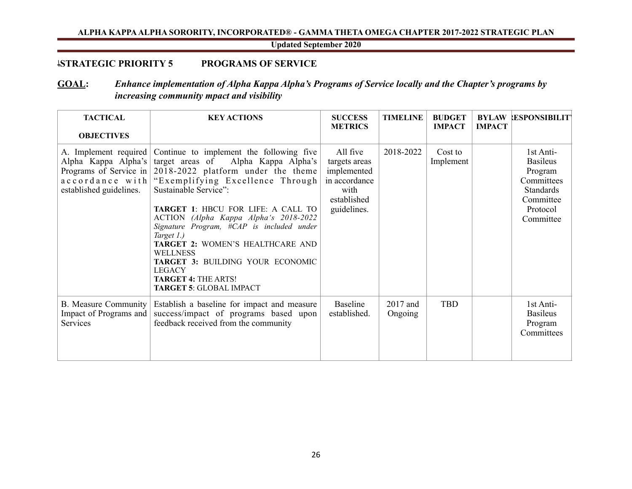<span id="page-26-0"></span>**Updated September 2020**

# *\***STRATEGIC PRIORITY 5 PROGRAMS OF SERVICE**

# **GOAL:** *Enhance implementation of Alpha Kappa Alpha's Programs of Service locally and the Chapter's programs by increasing community mpact and visibility*

| <b>TACTICAL</b><br><b>OBJECTIVES</b>                              | <b>KEY ACTIONS</b>                                                                                                                                                                                                                                                                                                                                                                                                                                                                                                                                            | <b>SUCCESS</b><br><b>METRICS</b>                                                                | <b>TIMELINE</b>     | <b>BUDGET</b><br><b>IMPACT</b> | <b>IMPACT</b> | <b>BYLAW ESPONSIBILITY</b>                                                                                      |
|-------------------------------------------------------------------|---------------------------------------------------------------------------------------------------------------------------------------------------------------------------------------------------------------------------------------------------------------------------------------------------------------------------------------------------------------------------------------------------------------------------------------------------------------------------------------------------------------------------------------------------------------|-------------------------------------------------------------------------------------------------|---------------------|--------------------------------|---------------|-----------------------------------------------------------------------------------------------------------------|
| Alpha Kappa Alpha's target areas of<br>established guidelines.    | A. Implement required Continue to implement the following five<br>Alpha Kappa Alpha's<br>Programs of Service in $\vert$ 2018-2022 platform under the theme<br>accordance with "Exemplifying Excellence Through<br>Sustainable Service":<br>TARGET 1: HBCU FOR LIFE: A CALL TO<br>ACTION (Alpha Kappa Alpha's 2018-2022<br>Signature Program, #CAP is included under<br>Target 1.)<br>TARGET 2: WOMEN'S HEALTHCARE AND<br><b>WELLNESS</b><br>TARGET 3: BUILDING YOUR ECONOMIC<br><b>LEGACY</b><br><b>TARGET 4: THE ARTS!</b><br><b>TARGET 5: GLOBAL IMPACT</b> | All five<br>targets areas<br>implemented<br>in accordance<br>with<br>established<br>guidelines. | 2018-2022           | Cost to<br>Implement           |               | 1st Anti-<br><b>Basileus</b><br>Program<br>Committees<br><b>Standards</b><br>Committee<br>Protocol<br>Committee |
| <b>B.</b> Measure Community<br>Impact of Programs and<br>Services | Establish a baseline for impact and measure<br>success/impact of programs based upon<br>feedback received from the community                                                                                                                                                                                                                                                                                                                                                                                                                                  | Baseline<br>established.                                                                        | 2017 and<br>Ongoing | <b>TBD</b>                     |               | 1st Anti-<br><b>Basileus</b><br>Program<br>Committees                                                           |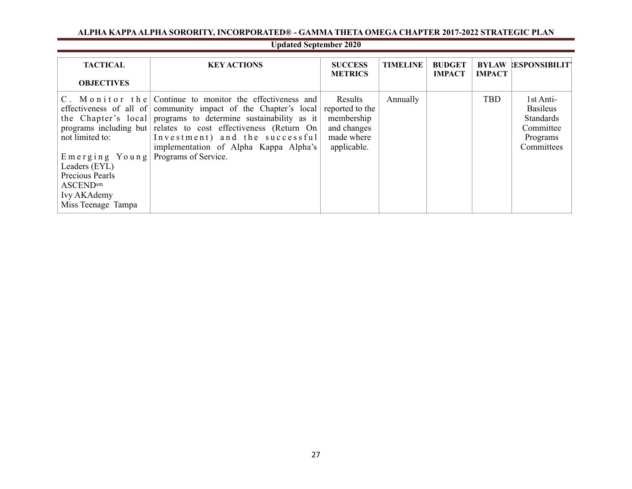# **Updated September 2020**

| <b>TACTICAL</b><br><b>OBJECTIVES</b>                                                                                           | <b>KEY ACTIONS</b>                                                                                                                                                                                                                                                                                                                                                  | <b>SUCCESS</b><br><b>METRICS</b>                                                     | <b>TIMELINE</b> | <b>BUDGET</b><br><b>IMPACT</b> | <b>IMPACT</b> | <b>BYLAW LESPONSIBILITY</b>                                                             |
|--------------------------------------------------------------------------------------------------------------------------------|---------------------------------------------------------------------------------------------------------------------------------------------------------------------------------------------------------------------------------------------------------------------------------------------------------------------------------------------------------------------|--------------------------------------------------------------------------------------|-----------------|--------------------------------|---------------|-----------------------------------------------------------------------------------------|
| not limited to:<br>Emerging Young<br>Leaders (EYL)<br>Precious Pearls<br><b>ASCEND</b> sm<br>Ivy AKAdemy<br>Miss Teenage Tampa | C. Monitor the Continue to monitor the effectiveness and<br>effectiveness of all of community impact of the Chapter's local<br>the Chapter's local programs to determine sustainability as it<br>programs including but relates to cost effectiveness (Return On<br>Investment) and the successful<br>implementation of Alpha Kappa Alpha's<br>Programs of Service. | Results<br>reported to the<br>membership<br>and changes<br>made where<br>applicable. | Annually        |                                | <b>TBD</b>    | 1st Anti-<br><b>Basileus</b><br><b>Standards</b><br>Committee<br>Programs<br>Committees |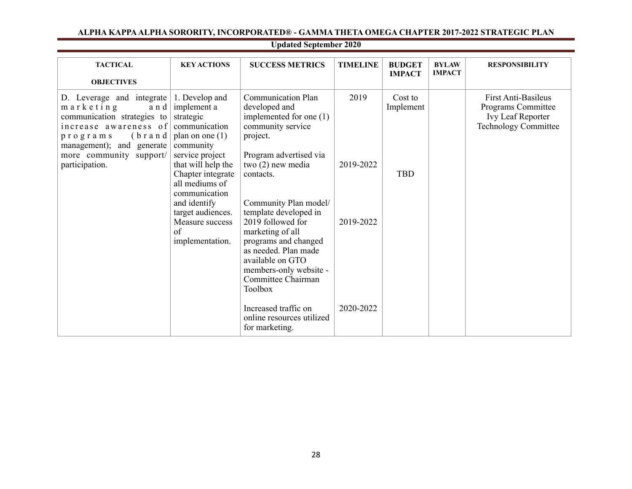| <b>TACTICAL</b><br><b>OBJECTIVES</b>                                                                                                                                                                               | <b>KEY ACTIONS</b>                                                                                                                                                                                                                                                              | <b>SUCCESS METRICS</b>                                                                                                                                                                                                                                                                                                                                                                                                      | <b>TIMELINE</b>                             | <b>BUDGET</b><br><b>IMPACT</b>     | <b>BYLAW</b><br><b>IMPACT</b> | <b>RESPONSIBILITY</b>                                                                         |
|--------------------------------------------------------------------------------------------------------------------------------------------------------------------------------------------------------------------|---------------------------------------------------------------------------------------------------------------------------------------------------------------------------------------------------------------------------------------------------------------------------------|-----------------------------------------------------------------------------------------------------------------------------------------------------------------------------------------------------------------------------------------------------------------------------------------------------------------------------------------------------------------------------------------------------------------------------|---------------------------------------------|------------------------------------|-------------------------------|-----------------------------------------------------------------------------------------------|
| D. Leverage and integrate<br>$m$ a r k e t i n g<br>and<br>communication strategies to<br>increase awareness of<br>$(b$ rand<br>programs<br>management); and generate<br>more community support/<br>participation. | 1. Develop and<br>implement a<br>strategic<br>communication<br>plan on one $(1)$<br>community<br>service project<br>that will help the<br>Chapter integrate<br>all mediums of<br>communication<br>and identify<br>target audiences.<br>Measure success<br>of<br>implementation. | <b>Communication Plan</b><br>developed and<br>implemented for one (1)<br>community service<br>project.<br>Program advertised via<br>two (2) new media<br>contacts.<br>Community Plan model/<br>template developed in<br>2019 followed for<br>marketing of all<br>programs and changed<br>as needed. Plan made<br>available on GTO<br>members-only website -<br>Committee Chairman<br><b>Toolbox</b><br>Increased traffic on | 2019<br>2019-2022<br>2019-2022<br>2020-2022 | Cost to<br>Implement<br><b>TBD</b> |                               | First Anti-Basileus<br>Programs Committee<br>Ivy Leaf Reporter<br><b>Technology Committee</b> |
|                                                                                                                                                                                                                    |                                                                                                                                                                                                                                                                                 | online resources utilized<br>for marketing.                                                                                                                                                                                                                                                                                                                                                                                 |                                             |                                    |                               |                                                                                               |

28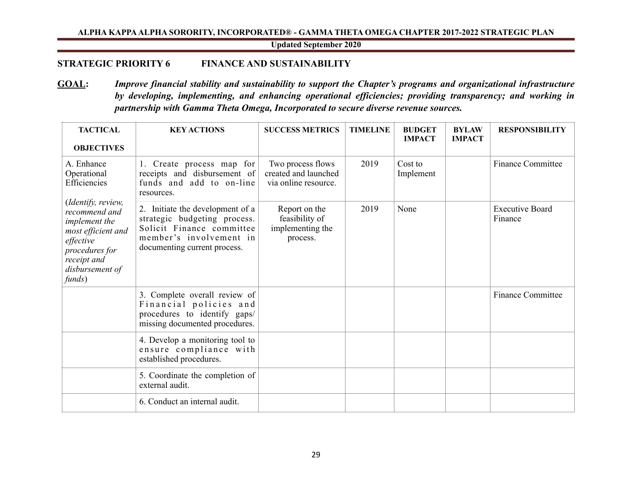<span id="page-29-0"></span>**Updated September 2020**

# **STRATEGIC PRIORITY 6 FINANCE AND SUSTAINABILITY**

**GOAL:** *Improve financial stability and sustainability to support the Chapter's programs and organizational infrastructure by developing, implementing, and enhancing operational efficiencies; providing transparency; and working in partnership with Gamma Theta Omega, Incorporated to secure diverse revenue sources.* 

| <b>TACTICAL</b><br><b>OBJECTIVES</b>                                                                                                                  | <b>KEY ACTIONS</b>                                                                                                                                       | <b>SUCCESS METRICS</b>                                            | <b>TIMELINE</b> | <b>BUDGET</b><br><b>IMPACT</b> | <b>BYLAW</b><br><b>IMPACT</b> | <b>RESPONSIBILITY</b>             |
|-------------------------------------------------------------------------------------------------------------------------------------------------------|----------------------------------------------------------------------------------------------------------------------------------------------------------|-------------------------------------------------------------------|-----------------|--------------------------------|-------------------------------|-----------------------------------|
| A. Enhance<br>Operational<br>Efficiencies                                                                                                             | 1. Create process map for<br>receipts and disbursement of<br>funds and add to on-line<br>resources.                                                      | Two process flows<br>created and launched<br>via online resource. | 2019            | Cost to<br>Implement           |                               | <b>Finance Committee</b>          |
| (Identify, review,<br>recommend and<br>implement the<br>most efficient and<br>effective<br>procedures for<br>receipt and<br>disbursement of<br>funds) | 2. Initiate the development of a<br>strategic budgeting process.<br>Solicit Finance committee<br>member's involvement in<br>documenting current process. | Report on the<br>feasibility of<br>implementing the<br>process.   | 2019            | None                           |                               | <b>Executive Board</b><br>Finance |
|                                                                                                                                                       | 3. Complete overall review of<br>Financial policies and<br>procedures to identify gaps/<br>missing documented procedures.                                |                                                                   |                 |                                |                               | <b>Finance Committee</b>          |
|                                                                                                                                                       | 4. Develop a monitoring tool to<br>ensure compliance with<br>established procedures.                                                                     |                                                                   |                 |                                |                               |                                   |
|                                                                                                                                                       | 5. Coordinate the completion of<br>external audit.                                                                                                       |                                                                   |                 |                                |                               |                                   |
|                                                                                                                                                       | 6. Conduct an internal audit.                                                                                                                            |                                                                   |                 |                                |                               |                                   |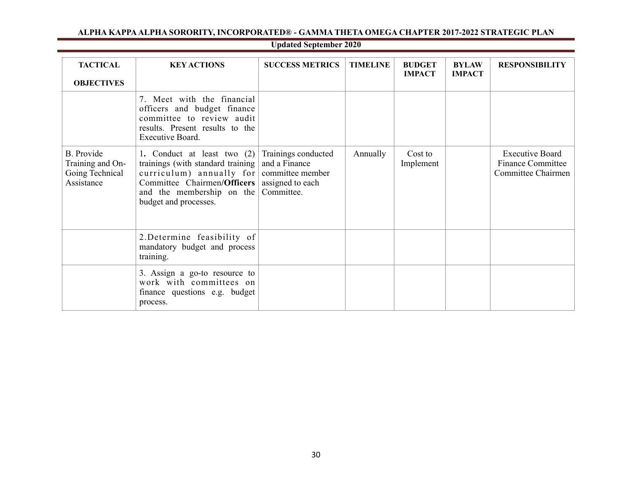| <b>TACTICAL</b><br><b>OBJECTIVES</b>                                   | <b>KEY ACTIONS</b>                                                                                                                                                                                                       | <b>SUCCESS METRICS</b>                             | <b>TIMELINE</b> | <b>BUDGET</b><br><b>IMPACT</b> | <b>BYLAW</b><br><b>IMPACT</b> | <b>RESPONSIBILITY</b>                                                           |
|------------------------------------------------------------------------|--------------------------------------------------------------------------------------------------------------------------------------------------------------------------------------------------------------------------|----------------------------------------------------|-----------------|--------------------------------|-------------------------------|---------------------------------------------------------------------------------|
|                                                                        | 7. Meet with the financial<br>officers and budget finance<br>committee to review audit<br>results. Present results to the<br>Executive Board.                                                                            |                                                    |                 |                                |                               |                                                                                 |
| <b>B.</b> Provide<br>Training and On-<br>Going Technical<br>Assistance | 1. Conduct at least two $(2)$<br>trainings (with standard training)<br>curriculum) annually for committee member<br>Committee Chairmen/Officers   assigned to each<br>and the membership on the<br>budget and processes. | Trainings conducted<br>and a Finance<br>Committee. | Annually        | Cost to<br>Implement           |                               | <b>Executive Board</b><br><b>Finance Committee</b><br><b>Committee Chairmen</b> |
|                                                                        | 2. Determine feasibility of<br>mandatory budget and process<br>training.                                                                                                                                                 |                                                    |                 |                                |                               |                                                                                 |
|                                                                        | 3. Assign a go-to resource to<br>work with committees on<br>finance questions e.g. budget<br>process.                                                                                                                    |                                                    |                 |                                |                               |                                                                                 |

30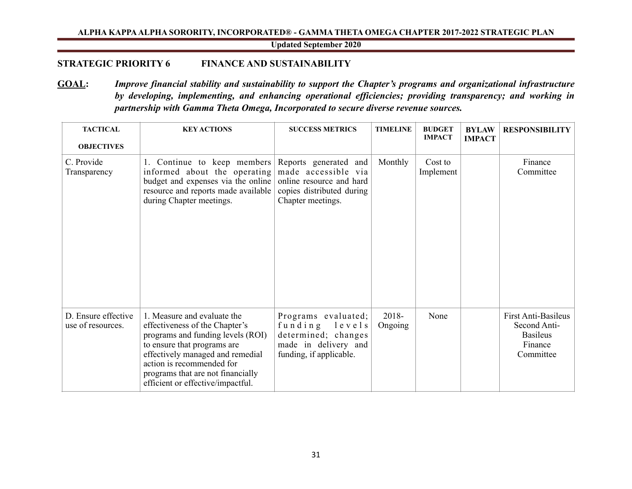**Updated September 2020**

# **STRATEGIC PRIORITY 6 FINANCE AND SUSTAINABILITY**

**GOAL:** *Improve financial stability and sustainability to support the Chapter's programs and organizational infrastructure by developing, implementing, and enhancing operational efficiencies; providing transparency; and working in partnership with Gamma Theta Omega, Incorporated to secure diverse revenue sources.* 

| <b>TACTICAL</b><br><b>OBJECTIVES</b>     | <b>KEY ACTIONS</b>                                                                                                                                                                                                                                                           | <b>SUCCESS METRICS</b>                                                                                                     | <b>TIMELINE</b>  | <b>BUDGET</b><br><b>IMPACT</b> | <b>BYLAW</b><br><b>IMPACT</b> | <b>RESPONSIBILITY</b>                                                                 |
|------------------------------------------|------------------------------------------------------------------------------------------------------------------------------------------------------------------------------------------------------------------------------------------------------------------------------|----------------------------------------------------------------------------------------------------------------------------|------------------|--------------------------------|-------------------------------|---------------------------------------------------------------------------------------|
| C. Provide<br>Transparency               | 1. Continue to keep members<br>informed about the operating<br>budget and expenses via the online<br>resource and reports made available<br>during Chapter meetings.                                                                                                         | Reports generated and<br>made accessible via<br>online resource and hard<br>copies distributed during<br>Chapter meetings. | Monthly          | Cost to<br>Implement           |                               | Finance<br>Committee                                                                  |
| D. Ensure effective<br>use of resources. | 1. Measure and evaluate the<br>effectiveness of the Chapter's<br>programs and funding levels (ROI)<br>to ensure that programs are<br>effectively managed and remedial<br>action is recommended for<br>programs that are not financially<br>efficient or effective/impactful. | Programs evaluated;<br>funding levels<br>determined; changes<br>made in delivery and<br>funding, if applicable.            | 2018-<br>Ongoing | None                           |                               | <b>First Anti-Basileus</b><br>Second Anti-<br><b>Basileus</b><br>Finance<br>Committee |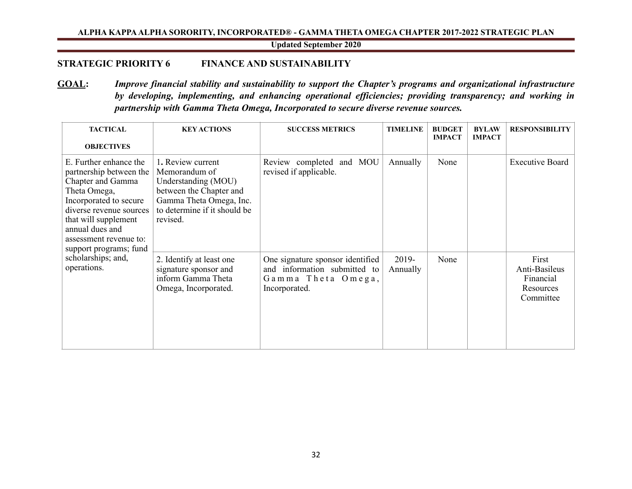**Updated September 2020**

# **STRATEGIC PRIORITY 6 FINANCE AND SUSTAINABILITY**

**GOAL:** *Improve financial stability and sustainability to support the Chapter's programs and organizational infrastructure by developing, implementing, and enhancing operational efficiencies; providing transparency; and working in partnership with Gamma Theta Omega, Incorporated to secure diverse revenue sources.* 

| <b>TACTICAL</b><br><b>OBJECTIVES</b>                                                                                                                                                                                                       | <b>KEY ACTIONS</b>                                                                                                                                          | <b>SUCCESS METRICS</b>                                                                                  | <b>TIMELINE</b>   | <b>BUDGET</b><br><b>IMPACT</b> | <b>BYLAW</b><br><b>IMPACT</b> | <b>RESPONSIBILITY</b>                                         |
|--------------------------------------------------------------------------------------------------------------------------------------------------------------------------------------------------------------------------------------------|-------------------------------------------------------------------------------------------------------------------------------------------------------------|---------------------------------------------------------------------------------------------------------|-------------------|--------------------------------|-------------------------------|---------------------------------------------------------------|
| E. Further enhance the<br>partnership between the<br>Chapter and Gamma<br>Theta Omega,<br>Incorporated to secure<br>diverse revenue sources<br>that will supplement<br>annual dues and<br>assessment revenue to:<br>support programs; fund | 1. Review current<br>Memorandum of<br>Understanding (MOU)<br>between the Chapter and<br>Gamma Theta Omega, Inc.<br>to determine if it should be<br>revised. | Review completed and MOU<br>revised if applicable.                                                      | Annually          | None                           |                               | <b>Executive Board</b>                                        |
| scholarships; and,<br>operations.                                                                                                                                                                                                          | 2. Identify at least one<br>signature sponsor and<br>inform Gamma Theta<br>Omega, Incorporated.                                                             | One signature sponsor identified<br>and information submitted to<br>Gamma Theta Omega,<br>Incorporated. | 2019-<br>Annually | None                           |                               | First<br>Anti-Basileus<br>Financial<br>Resources<br>Committee |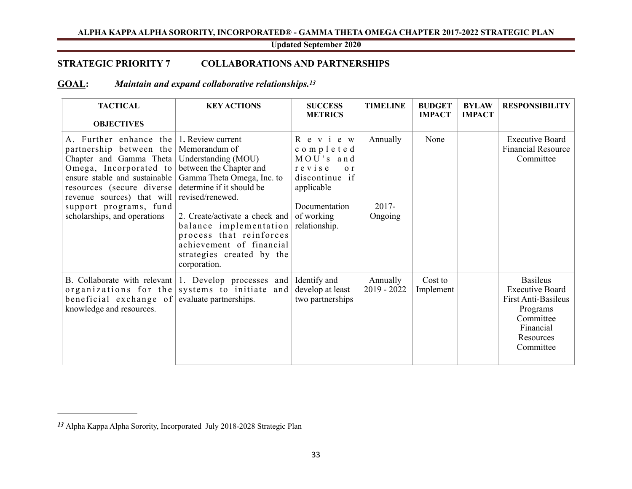# <span id="page-33-2"></span><span id="page-33-0"></span>**Updated September 2020**

# **STRATEGIC PRIORITY 7 COLLABORATIONS AND PARTNERSHIPS**

# **GOAL:** *Maintain and expand collaborative relationships.[13](#page-33-1)*

| <b>TACTICAL</b><br><b>OBJECTIVES</b>                                                                                                                                                                                                                                                                 | <b>KEY ACTIONS</b>                                                                                                                                                                                                                                                                            | <b>SUCCESS</b><br><b>METRICS</b>                                                                                                                         | <b>TIMELINE</b>                 | <b>BUDGET</b><br><b>IMPACT</b> | <b>BYLAW</b><br><b>IMPACT</b> | <b>RESPONSIBILITY</b>                                                                                                            |
|------------------------------------------------------------------------------------------------------------------------------------------------------------------------------------------------------------------------------------------------------------------------------------------------------|-----------------------------------------------------------------------------------------------------------------------------------------------------------------------------------------------------------------------------------------------------------------------------------------------|----------------------------------------------------------------------------------------------------------------------------------------------------------|---------------------------------|--------------------------------|-------------------------------|----------------------------------------------------------------------------------------------------------------------------------|
| A. Further enhance the $\vert$ 1. Review current<br>partnership between the Memorandum of<br>Chapter and Gamma Theta<br>Omega, Incorporated to<br>ensure stable and sustainable<br>resources (secure diverse<br>revenue sources) that will<br>support programs, fund<br>scholarships, and operations | Understanding (MOU)<br>between the Chapter and<br>Gamma Theta Omega, Inc. to<br>determine if it should be<br>revised/renewed.<br>2. Create/activate a check and<br>balance implementation<br>process that reinforces<br>achievement of financial<br>strategies created by the<br>corporation. | R e v i e w<br>completed<br>MOU's and<br>revise<br>$\sigma$ $\mathbf{r}$<br>discontinue if<br>applicable<br>Documentation<br>of working<br>relationship. | Annually<br>$2017 -$<br>Ongoing | None                           |                               | <b>Executive Board</b><br><b>Financial Resource</b><br>Committee                                                                 |
| B. Collaborate with relevant<br>organizations for the<br>beneficial exchange of<br>knowledge and resources.                                                                                                                                                                                          | 1. Develop processes and<br>systems to initiate and<br>evaluate partnerships.                                                                                                                                                                                                                 | Identify and<br>develop at least<br>two partnerships                                                                                                     | Annually<br>$2019 - 2022$       | Cost to<br>Implement           |                               | <b>Basileus</b><br><b>Executive Board</b><br>First Anti-Basileus<br>Programs<br>Committee<br>Financial<br>Resources<br>Committee |

<span id="page-33-1"></span>Alpha Kappa Alpha Sorority, Incorporated July 2018-2028 Strategic Plan *[13](#page-33-2)*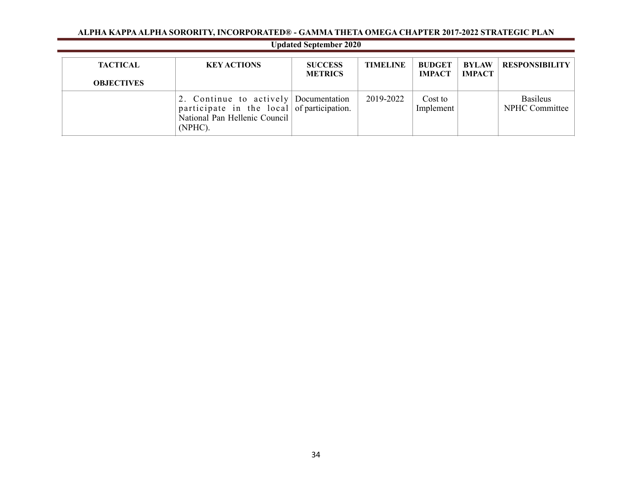| <b>Updated September 2020</b>        |                                                                                                                                 |                                  |                 |                                |                               |                                   |  |  |
|--------------------------------------|---------------------------------------------------------------------------------------------------------------------------------|----------------------------------|-----------------|--------------------------------|-------------------------------|-----------------------------------|--|--|
| <b>TACTICAL</b><br><b>OBJECTIVES</b> | <b>KEY ACTIONS</b>                                                                                                              | <b>SUCCESS</b><br><b>METRICS</b> | <b>TIMELINE</b> | <b>BUDGET</b><br><b>IMPACT</b> | <b>BYLAW</b><br><b>IMPACT</b> | <b>RESPONSIBILITY</b>             |  |  |
|                                      | 2. Continue to actively Documentation<br>participate in the local of participation.<br>National Pan Hellenic Council<br>(NPHC). |                                  | 2019-2022       | Cost to<br>Implement           |                               | <b>Basileus</b><br>NPHC Committee |  |  |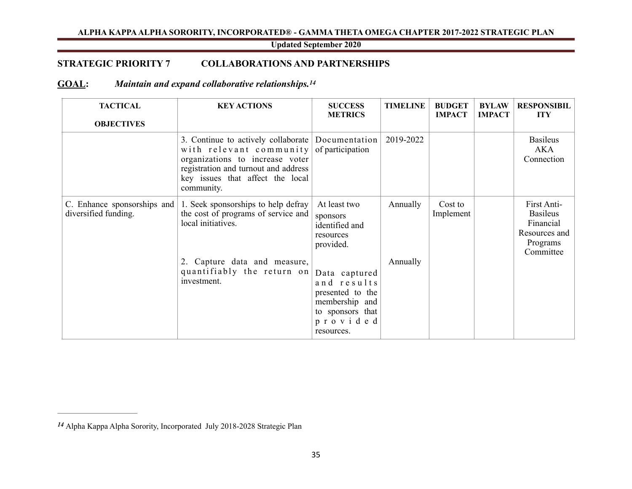# <span id="page-35-1"></span>**Updated September 2020**

# **STRATEGIC PRIORITY 7 COLLABORATIONS AND PARTNERSHIPS**

# **GOAL:** *Maintain and expand collaborative relationships.[14](#page-35-0)*

| <b>TACTICAL</b><br><b>OBJECTIVES</b>                | <b>KEY ACTIONS</b>                                                                                                                                                                                                         | <b>SUCCESS</b><br><b>METRICS</b>                                                                                 | <b>TIMELINE</b> | <b>BUDGET</b><br><b>IMPACT</b> | <b>BYLAW</b><br><b>IMPACT</b> | <b>RESPONSIBIL</b><br><b>ITY</b>                                                      |
|-----------------------------------------------------|----------------------------------------------------------------------------------------------------------------------------------------------------------------------------------------------------------------------------|------------------------------------------------------------------------------------------------------------------|-----------------|--------------------------------|-------------------------------|---------------------------------------------------------------------------------------|
|                                                     | 3. Continue to actively collaborate Documentation<br>with relevant community of participation<br>organizations to increase voter<br>registration and turnout and address<br>key issues that affect the local<br>community. |                                                                                                                  | 2019-2022       |                                |                               | <b>Basileus</b><br>AKA<br>Connection                                                  |
| C. Enhance sponsorships and<br>diversified funding. | 1. Seek sponsorships to help defray<br>the cost of programs of service and<br>local initiatives.                                                                                                                           | At least two<br>sponsors<br>identified and<br>resources<br>provided.                                             | Annually        | Cost to<br>Implement           |                               | First Anti-<br><b>Basileus</b><br>Financial<br>Resources and<br>Programs<br>Committee |
|                                                     | 2. Capture data and measure,<br>quantifiably the return on<br>investment.                                                                                                                                                  | Data captured<br>and results<br>presented to the<br>membership and<br>to sponsors that<br>provided<br>resources. | Annually        |                                |                               |                                                                                       |

<span id="page-35-0"></span>Alpha Kappa Alpha Sorority, Incorporated July 2018-2028 Strategic Plan *[14](#page-35-1)*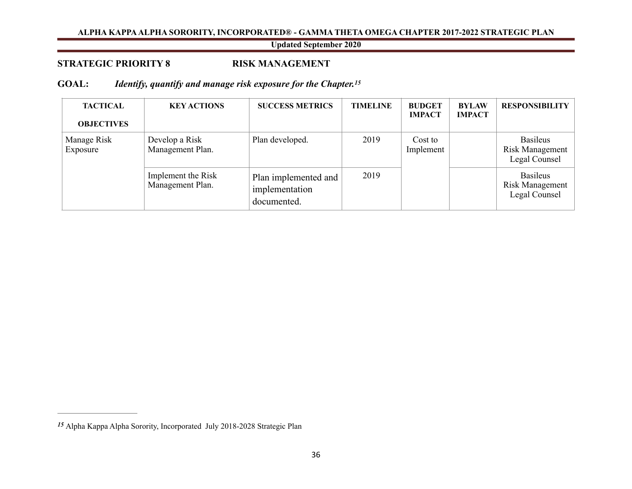# <span id="page-36-2"></span><span id="page-36-0"></span>**Updated September 2020**

# **STRATEGIC PRIORITY 8 RISK MANAGEMENT**

# **GOAL:** *Identify, quantify and manage risk exposure for the Chapter[.15](#page-36-1)*

| <b>TACTICAL</b><br><b>OBJECTIVES</b> | <b>KEY ACTIONS</b>                     | <b>SUCCESS METRICS</b>                                | <b>TIMELINE</b> | <b>BUDGET</b><br><b>IMPACT</b> | <b>BYLAW</b><br><b>IMPACT</b> | <b>RESPONSIBILITY</b>                               |
|--------------------------------------|----------------------------------------|-------------------------------------------------------|-----------------|--------------------------------|-------------------------------|-----------------------------------------------------|
| Manage Risk<br>Exposure              | Develop a Risk<br>Management Plan.     | Plan developed.                                       | 2019            | Cost to<br>Implement           |                               | <b>Basileus</b><br>Risk Management<br>Legal Counsel |
|                                      | Implement the Risk<br>Management Plan. | Plan implemented and<br>implementation<br>documented. | 2019            |                                |                               | <b>Basileus</b><br>Risk Management<br>Legal Counsel |

<span id="page-36-1"></span>Alpha Kappa Alpha Sorority, Incorporated July 2018-2028 Strategic Plan *[15](#page-36-2)*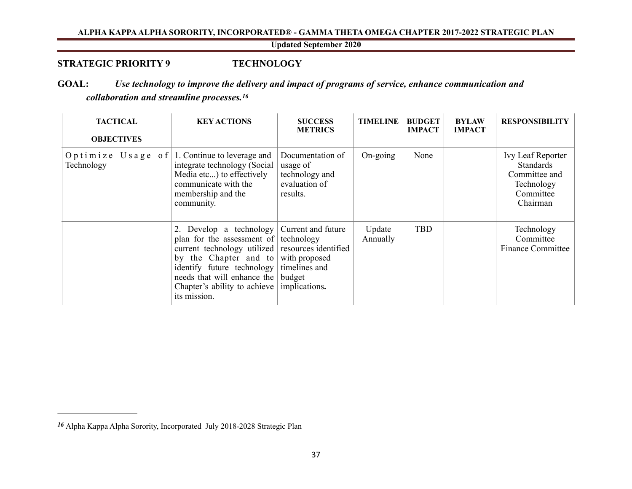<span id="page-37-2"></span><span id="page-37-0"></span>**Updated September 2020**

# **STRATEGIC PRIORITY 9 TECHNOLOGY**

# **GOAL:** *Use technology to improve the delivery and impact of programs of service, enhance communication and collaboration and streamline processes[.16](#page-37-1)*

| <b>TACTICAL</b><br><b>OBJECTIVES</b>                        | <b>KEY ACTIONS</b>                                                                                                                                                                                                                                                                       | <b>SUCCESS</b><br><b>METRICS</b>                                            | <b>TIMELINE</b>    | <b>BUDGET</b><br><b>IMPACT</b> | <b>BYLAW</b><br><b>IMPACT</b> | <b>RESPONSIBILITY</b>                                                                  |
|-------------------------------------------------------------|------------------------------------------------------------------------------------------------------------------------------------------------------------------------------------------------------------------------------------------------------------------------------------------|-----------------------------------------------------------------------------|--------------------|--------------------------------|-------------------------------|----------------------------------------------------------------------------------------|
| Optimize Usage of 1. Continue to leverage and<br>Technology | integrate technology (Social<br>Media etc) to effectively<br>communicate with the<br>membership and the<br>community.                                                                                                                                                                    | Documentation of<br>usage of<br>technology and<br>evaluation of<br>results. | On-going           | None                           |                               | Ivy Leaf Reporter<br>Standards<br>Committee and<br>Technology<br>Committee<br>Chairman |
|                                                             | Develop a technology Current and future<br>plan for the assessment of technology<br>current technology utilized resources identified<br>by the Chapter and to with proposed<br>identify future technology<br>needs that will enhance the<br>Chapter's ability to achieve<br>its mission. | timelines and<br>budget<br>implications.                                    | Update<br>Annually | <b>TBD</b>                     |                               | Technology<br>Committee<br><b>Finance Committee</b>                                    |

<span id="page-37-1"></span>Alpha Kappa Alpha Sorority, Incorporated July 2018-2028 Strategic Plan *[16](#page-37-2)*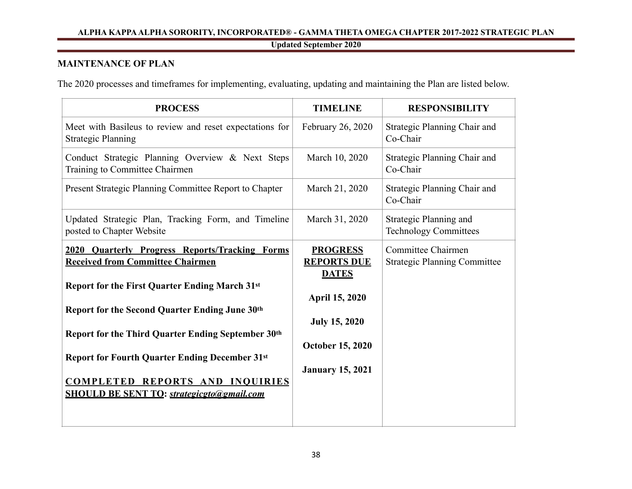**Updated September 2020**

# <span id="page-38-0"></span>**MAINTENANCE OF PLAN**

The 2020 processes and timeframes for implementing, evaluating, updating and maintaining the Plan are listed below.

| <b>TIMELINE</b>                                                                                                                                              | <b>RESPONSIBILITY</b>                                     |
|--------------------------------------------------------------------------------------------------------------------------------------------------------------|-----------------------------------------------------------|
| February 26, 2020                                                                                                                                            | Strategic Planning Chair and<br>Co-Chair                  |
| March 10, 2020                                                                                                                                               | Strategic Planning Chair and<br>Co-Chair                  |
| March 21, 2020                                                                                                                                               | Strategic Planning Chair and<br>Co-Chair                  |
| March 31, 2020                                                                                                                                               | Strategic Planning and<br><b>Technology Committees</b>    |
| <b>PROGRESS</b><br><b>REPORTS DUE</b><br><b>DATES</b><br><b>April 15, 2020</b><br><b>July 15, 2020</b><br><b>October 15, 2020</b><br><b>January 15, 2021</b> | Committee Chairmen<br><b>Strategic Planning Committee</b> |
|                                                                                                                                                              |                                                           |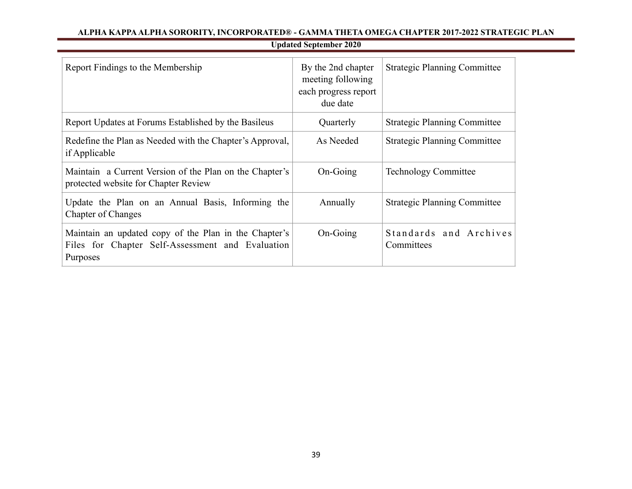# **Updated September 2020**

| Report Findings to the Membership                                                                                     | By the 2nd chapter<br>meeting following<br>each progress report<br>due date | <b>Strategic Planning Committee</b>  |
|-----------------------------------------------------------------------------------------------------------------------|-----------------------------------------------------------------------------|--------------------------------------|
| Report Updates at Forums Established by the Basileus                                                                  | Quarterly                                                                   | <b>Strategic Planning Committee</b>  |
| Redefine the Plan as Needed with the Chapter's Approval,<br>if Applicable                                             | As Needed                                                                   | <b>Strategic Planning Committee</b>  |
| Maintain a Current Version of the Plan on the Chapter's<br>protected website for Chapter Review                       | On-Going                                                                    | <b>Technology Committee</b>          |
| Update the Plan on an Annual Basis, Informing the<br><b>Chapter of Changes</b>                                        | Annually                                                                    | <b>Strategic Planning Committee</b>  |
| Maintain an updated copy of the Plan in the Chapter's<br>Files for Chapter Self-Assessment and Evaluation<br>Purposes | On-Going                                                                    | Standards and Archives<br>Committees |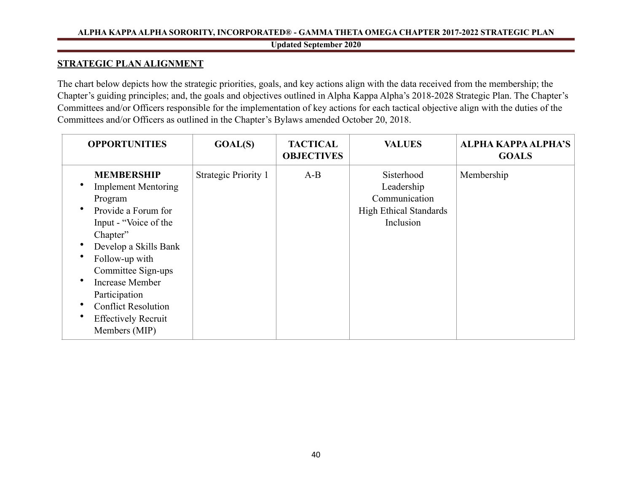# **Updated September 2020**

# <span id="page-40-0"></span>**STRATEGIC PLAN ALIGNMENT**

The chart below depicts how the strategic priorities, goals, and key actions align with the data received from the membership; the Chapter's guiding principles; and, the goals and objectives outlined in Alpha Kappa Alpha's 2018-2028 Strategic Plan. The Chapter's Committees and/or Officers responsible for the implementation of key actions for each tactical objective align with the duties of the Committees and/or Officers as outlined in the Chapter's Bylaws amended October 20, 2018.

| <b>OPPORTUNITIES</b>                                                                                                                                                                                                                                                                                     | GOAL(S)                     | <b>TACTICAL</b><br><b>OBJECTIVES</b> | <b>VALUES</b>                                                                           | <b>ALPHA KAPPA ALPHA'S</b><br><b>GOALS</b> |
|----------------------------------------------------------------------------------------------------------------------------------------------------------------------------------------------------------------------------------------------------------------------------------------------------------|-----------------------------|--------------------------------------|-----------------------------------------------------------------------------------------|--------------------------------------------|
| <b>MEMBERSHIP</b><br><b>Implement Mentoring</b><br>Program<br>Provide a Forum for<br>Input - "Voice of the<br>Chapter"<br>Develop a Skills Bank<br>Follow-up with<br>Committee Sign-ups<br>Increase Member<br>Participation<br><b>Conflict Resolution</b><br><b>Effectively Recruit</b><br>Members (MIP) | <b>Strategic Priority 1</b> | $A-B$                                | Sisterhood<br>Leadership<br>Communication<br><b>High Ethical Standards</b><br>Inclusion | Membership                                 |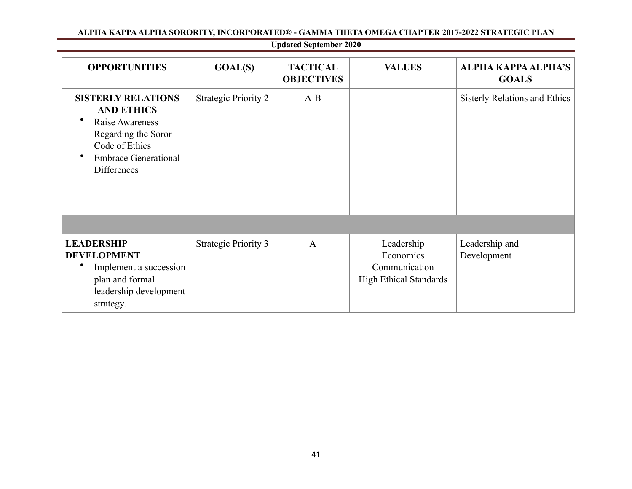|                                                                                                                                                                 |                             | <b>Updated September 2020</b>        |                                                                           |                                            |
|-----------------------------------------------------------------------------------------------------------------------------------------------------------------|-----------------------------|--------------------------------------|---------------------------------------------------------------------------|--------------------------------------------|
| <b>OPPORTUNITIES</b>                                                                                                                                            | <b>GOAL(S)</b>              | <b>TACTICAL</b><br><b>OBJECTIVES</b> | <b>VALUES</b>                                                             | <b>ALPHA KAPPA ALPHA'S</b><br><b>GOALS</b> |
| <b>SISTERLY RELATIONS</b><br><b>AND ETHICS</b><br>Raise Awareness<br>Regarding the Soror<br>Code of Ethics<br><b>Embrace Generational</b><br><b>Differences</b> | <b>Strategic Priority 2</b> | $A-B$                                |                                                                           | Sisterly Relations and Ethics              |
|                                                                                                                                                                 |                             |                                      |                                                                           |                                            |
| <b>LEADERSHIP</b><br><b>DEVELOPMENT</b><br>Implement a succession<br>plan and formal<br>leadership development<br>strategy.                                     | <b>Strategic Priority 3</b> | $\mathbf{A}$                         | Leadership<br>Economics<br>Communication<br><b>High Ethical Standards</b> | Leadership and<br>Development              |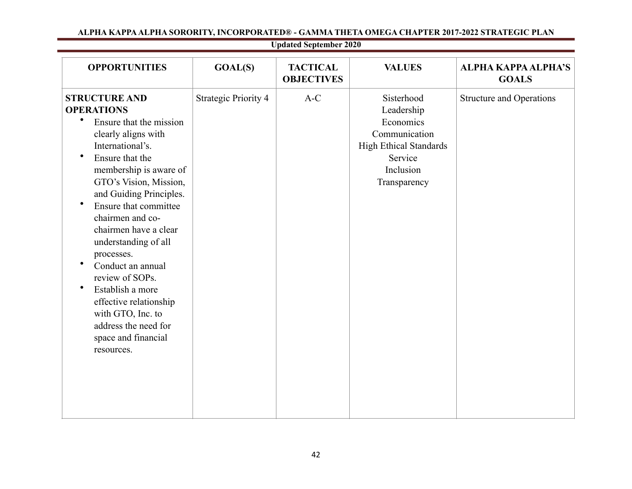| <b>OPPORTUNITIES</b>                                                                                                                                                                                                                                                                                                                                                                                                                                                                                                                                      | GOAL(S)                     | <b>TACTICAL</b><br><b>OBJECTIVES</b> | <b>VALUES</b>                                                                                                                   | <b>ALPHA KAPPA ALPHA'S</b><br><b>GOALS</b> |
|-----------------------------------------------------------------------------------------------------------------------------------------------------------------------------------------------------------------------------------------------------------------------------------------------------------------------------------------------------------------------------------------------------------------------------------------------------------------------------------------------------------------------------------------------------------|-----------------------------|--------------------------------------|---------------------------------------------------------------------------------------------------------------------------------|--------------------------------------------|
| <b>STRUCTURE AND</b><br><b>OPERATIONS</b><br>$\bullet$<br>Ensure that the mission<br>clearly aligns with<br>International's.<br>$\bullet$<br>Ensure that the<br>membership is aware of<br>GTO's Vision, Mission,<br>and Guiding Principles.<br>Ensure that committee<br>$\bullet$<br>chairmen and co-<br>chairmen have a clear<br>understanding of all<br>processes.<br>Conduct an annual<br>review of SOPs.<br>$\bullet$<br>Establish a more<br>effective relationship<br>with GTO, Inc. to<br>address the need for<br>space and financial<br>resources. | <b>Strategic Priority 4</b> | $A-C$                                | Sisterhood<br>Leadership<br>Economics<br>Communication<br><b>High Ethical Standards</b><br>Service<br>Inclusion<br>Transparency | <b>Structure and Operations</b>            |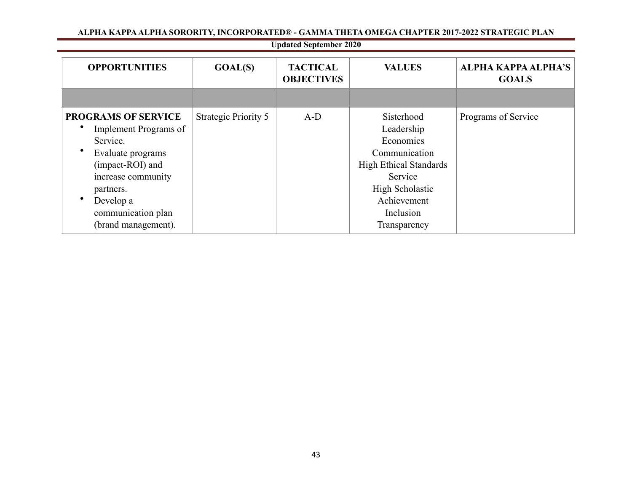|  | ALPHA KAPPA ALPHA SORORITY, INCORPORATED® - GAMMA THETA OMEGA CHAPTER 2017-2022 STRATEGIC PLAN |
|--|------------------------------------------------------------------------------------------------|
|--|------------------------------------------------------------------------------------------------|

|                                                                                                                                                                                                       |                      | <b>Updated September 2020</b>        |                                                                                                                                                                   |                                            |
|-------------------------------------------------------------------------------------------------------------------------------------------------------------------------------------------------------|----------------------|--------------------------------------|-------------------------------------------------------------------------------------------------------------------------------------------------------------------|--------------------------------------------|
| <b>OPPORTUNITIES</b>                                                                                                                                                                                  | GOAL(S)              | <b>TACTICAL</b><br><b>OBJECTIVES</b> | <b>VALUES</b>                                                                                                                                                     | <b>ALPHA KAPPA ALPHA'S</b><br><b>GOALS</b> |
|                                                                                                                                                                                                       |                      |                                      |                                                                                                                                                                   |                                            |
| <b>PROGRAMS OF SERVICE</b><br>Implement Programs of<br>Service.<br>Evaluate programs<br>(impact-ROI) and<br>increase community<br>partners.<br>Develop a<br>communication plan<br>(brand management). | Strategic Priority 5 | $A-D$                                | Sisterhood<br>Leadership<br>Economics<br>Communication<br><b>High Ethical Standards</b><br>Service<br>High Scholastic<br>Achievement<br>Inclusion<br>Transparency | Programs of Service                        |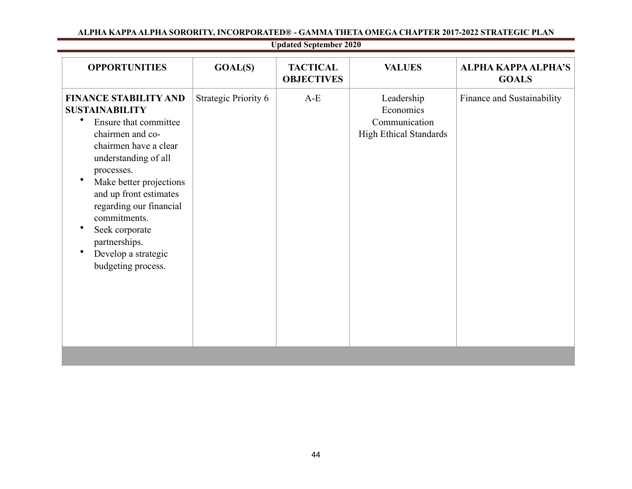| <b>Strategic Priority 6</b><br><b>FINANCE STABILITY AND</b><br>$A-E$<br>Leadership<br><b>SUSTAINABILITY</b><br>Economics<br>Ensure that committee<br>Communication<br>High Ethical Standards<br>chairmen and co-   | <b>OPPORTUNITIES</b>  | GOAL(S) | <b>TACTICAL</b><br><b>OBJECTIVES</b> | <b>VALUES</b> | <b>ALPHA KAPPA ALPHA'S</b><br><b>GOALS</b> |
|--------------------------------------------------------------------------------------------------------------------------------------------------------------------------------------------------------------------|-----------------------|---------|--------------------------------------|---------------|--------------------------------------------|
| understanding of all<br>processes.<br>Make better projections<br>and up front estimates<br>regarding our financial<br>commitments.<br>Seek corporate<br>partnerships.<br>Develop a strategic<br>budgeting process. | chairmen have a clear |         |                                      |               | Finance and Sustainability                 |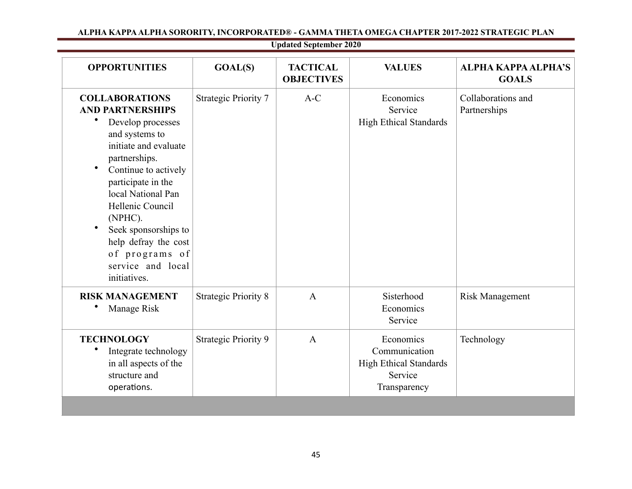| <b>OPPORTUNITIES</b>                                                                                                                                                                                                                                                                                                                                     | GOAL(S)                     | <b>TACTICAL</b><br><b>OBJECTIVES</b> | <b>VALUES</b>                                                                          | <b>ALPHA KAPPA ALPHA'S</b><br><b>GOALS</b> |
|----------------------------------------------------------------------------------------------------------------------------------------------------------------------------------------------------------------------------------------------------------------------------------------------------------------------------------------------------------|-----------------------------|--------------------------------------|----------------------------------------------------------------------------------------|--------------------------------------------|
| <b>COLLABORATIONS</b><br><b>AND PARTNERSHIPS</b><br>Develop processes<br>and systems to<br>initiate and evaluate<br>partnerships.<br>$\bullet$<br>Continue to actively<br>participate in the<br>local National Pan<br>Hellenic Council<br>(NPHC).<br>Seek sponsorships to<br>help defray the cost<br>of programs of<br>service and local<br>initiatives. | <b>Strategic Priority 7</b> | $A-C$                                | Economics<br>Service<br><b>High Ethical Standards</b>                                  | Collaborations and<br>Partnerships         |
| <b>RISK MANAGEMENT</b><br>Manage Risk                                                                                                                                                                                                                                                                                                                    | <b>Strategic Priority 8</b> | $\mathbf{A}$                         | Sisterhood<br>Economics<br>Service                                                     | <b>Risk Management</b>                     |
| <b>TECHNOLOGY</b><br>Integrate technology<br>in all aspects of the<br>structure and<br>operations.                                                                                                                                                                                                                                                       | Strategic Priority 9        | $\mathbf{A}$                         | Economics<br>Communication<br><b>High Ethical Standards</b><br>Service<br>Transparency | Technology                                 |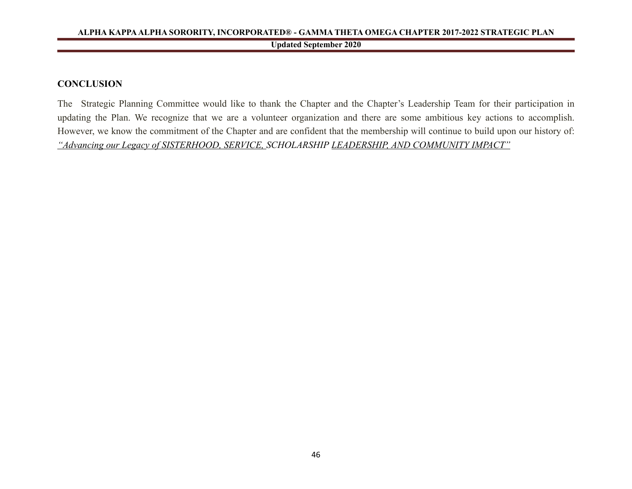# <span id="page-46-0"></span>**CONCLUSION**

The Strategic Planning Committee would like to thank the Chapter and the Chapter's Leadership Team for their participation in updating the Plan. We recognize that we are a volunteer organization and there are some ambitious key actions to accomplish. However, we know the commitment of the Chapter and are confident that the membership will continue to build upon our history of: *"Advancing our Legacy of SISTERHOOD, SERVICE, SCHOLARSHIP LEADERSHIP, AND COMMUNITY IMPACT"*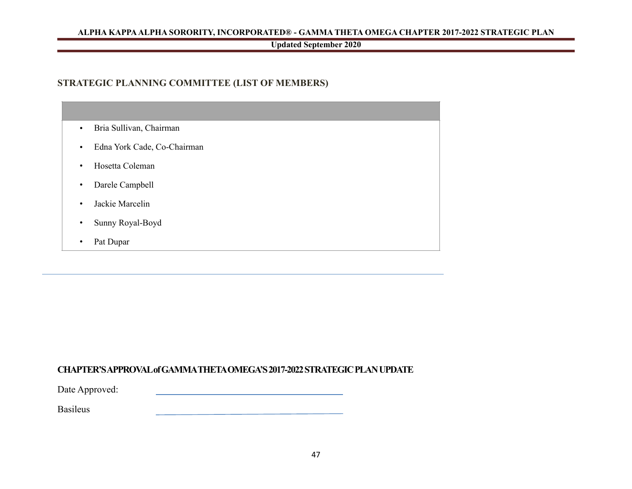# **Updated September 2020**

# <span id="page-47-0"></span>**STRATEGIC PLANNING COMMITTEE (LIST OF MEMBERS)**

| Bria Sullivan, Chairman<br>$\bullet$     |
|------------------------------------------|
| Edna York Cade, Co-Chairman<br>$\bullet$ |
| Hosetta Coleman<br>$\bullet$             |
| Darele Campbell<br>$\bullet$             |
| Jackie Marcelin<br>$\bullet$             |
| Sunny Royal-Boyd<br>$\bullet$            |
| Pat Dupar<br>$\bullet$                   |

# **CHAPTER'S APPROVAL of GAMMA THETA OMEGA'S 2017-2022 STRATEGIC PLAN UPDATE**

Date Approved:

Basileus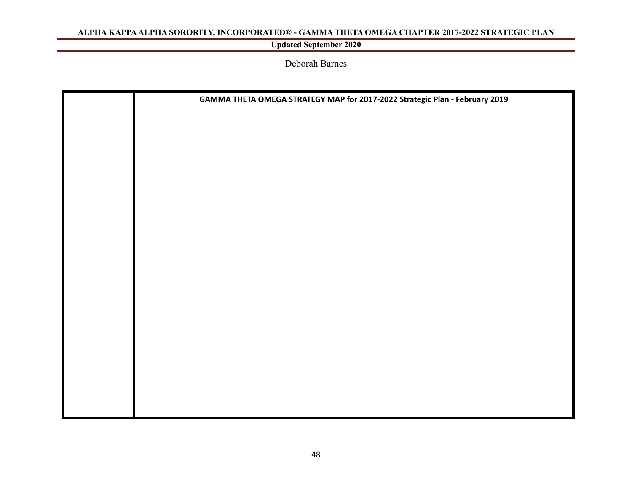# **Updated September 2020**

Deborah Barnes

| GAMMA THETA OMEGA STRATEGY MAP for 2017-2022 Strategic Plan - February 2019 |
|-----------------------------------------------------------------------------|
|                                                                             |
|                                                                             |
|                                                                             |
|                                                                             |
|                                                                             |
|                                                                             |
|                                                                             |
|                                                                             |
|                                                                             |
|                                                                             |
|                                                                             |
|                                                                             |
|                                                                             |
|                                                                             |
|                                                                             |
|                                                                             |
|                                                                             |
|                                                                             |
|                                                                             |
|                                                                             |
|                                                                             |
|                                                                             |
|                                                                             |